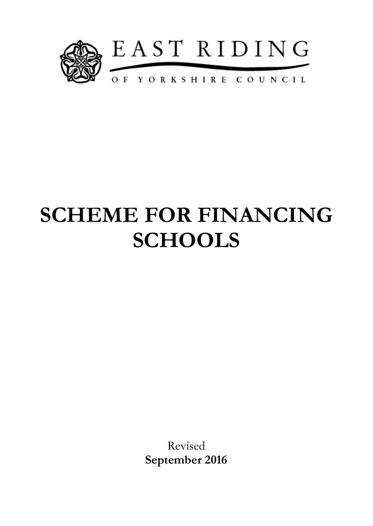

# **SCHEME FOR FINANCING SCHOOLS**

Revised **September 2016**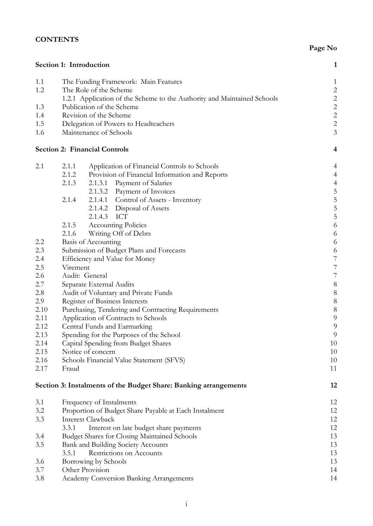# **CONTENTS**

|      | Section 1: Introduction                                                 | $\mathbf{1}$                               |
|------|-------------------------------------------------------------------------|--------------------------------------------|
| 1.1  | The Funding Framework: Main Features                                    | $\mathbf{1}$                               |
| 1.2  | The Role of the Scheme                                                  | $\overline{c}$                             |
|      | 1.2.1 Application of the Scheme to the Authority and Maintained Schools |                                            |
| 1.3  | Publication of the Scheme                                               | $\frac{2}{2}$                              |
| 1.4  | Revision of the Scheme                                                  | $\overline{c}$                             |
| 1.5  | Delegation of Powers to Headteachers                                    | $\overline{c}$                             |
| 1.6  | Maintenance of Schools                                                  | $\mathfrak{Z}$                             |
|      | <b>Section 2: Financial Controls</b>                                    | 4                                          |
| 2.1  | 2.1.1<br>Application of Financial Controls to Schools                   | $\overline{4}$                             |
|      | 2.1.2<br>Provision of Financial Information and Reports                 | $\overline{4}$                             |
|      | 2.1.3<br>2.1.3.1 Payment of Salaries                                    | $\overline{4}$                             |
|      | 2.1.3.2 Payment of Invoices                                             |                                            |
|      | 2.1.4<br>2.1.4.1<br>Control of Assets - Inventory                       | $\begin{array}{c} 5 \\ 5 \\ 5 \end{array}$ |
|      | 2.1.4.2 Disposal of Assets                                              |                                            |
|      | 2.1.4.3 ICT                                                             | 5                                          |
|      | 2.1.5<br><b>Accounting Policies</b>                                     | $\sqrt{6}$                                 |
|      | Writing Off of Debts<br>2.1.6                                           | 6                                          |
| 2.2  | Basis of Accounting                                                     | 6                                          |
| 2.3  | Submission of Budget Plans and Forecasts                                | 6                                          |
| 2.4  | Efficiency and Value for Money                                          | $\boldsymbol{7}$                           |
| 2.5  | Virement                                                                | $\overline{7}$                             |
| 2.6  | Audit: General                                                          | $\overline{7}$                             |
| 2.7  | Separate External Audits                                                | $\, 8$                                     |
| 2.8  | Audit of Voluntary and Private Funds                                    | $\, 8$                                     |
| 2.9  | Register of Business Interests                                          | $\,$ $\,$                                  |
| 2.10 | Purchasing, Tendering and Contracting Requirements                      | $\, 8$                                     |
| 2.11 | Application of Contracts to Schools                                     | $\boldsymbol{9}$                           |
| 2.12 | Central Funds and Earmarking                                            | $\overline{9}$                             |
| 2.13 | Spending for the Purposes of the School                                 | $\overline{9}$                             |
| 2.14 | Capital Spending from Budget Shares                                     | 10                                         |
| 2.15 | Notice of concern                                                       | 10                                         |
| 2.16 | Schools Financial Value Statement (SFVS)                                | 10                                         |
| 2.17 | Fraud                                                                   | 11                                         |
|      | Section 3: Instalments of the Budget Share: Banking arrangements        | 12                                         |
| 3.1  | Frequency of Instalments                                                | 12                                         |
| 3.2  | Proportion of Budget Share Payable at Each Instalment                   | 12                                         |
| 3.3  | Interest Clawback                                                       | 12                                         |
|      | Interest on late budget share payments<br>3.3.1                         | 12                                         |
| 3.4  | <b>Budget Shares for Closing Maintained Schools</b>                     | 13                                         |
| 3.5  | Bank and Building Society Accounts                                      | 13                                         |
|      | Restrictions on Accounts<br>3.5.1                                       | 13                                         |
| 3.6  | Borrowing by Schools                                                    | 13                                         |
| 3.7  | Other Provision                                                         | 14                                         |
| 3.8  | Academy Conversion Banking Arrangements                                 | 14                                         |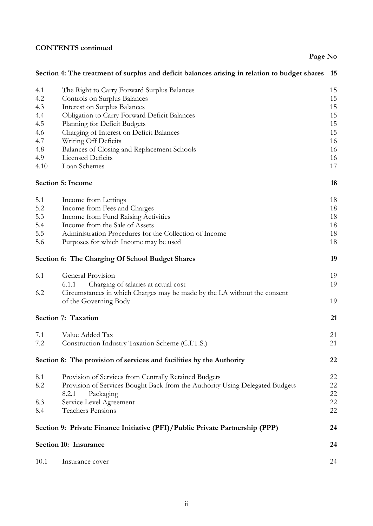|      | <b>CONTENTS</b> continued                                                                     |         |
|------|-----------------------------------------------------------------------------------------------|---------|
|      |                                                                                               | Page No |
|      | Section 4: The treatment of surplus and deficit balances arising in relation to budget shares | 15      |
| 4.1  | The Right to Carry Forward Surplus Balances                                                   | 15      |
| 4.2  | Controls on Surplus Balances                                                                  | 15      |
| 4.3  | <b>Interest on Surplus Balances</b>                                                           | 15      |
| 4.4  | Obligation to Carry Forward Deficit Balances                                                  | 15      |
| 4.5  | Planning for Deficit Budgets                                                                  | 15      |
| 4.6  | Charging of Interest on Deficit Balances                                                      | 15      |
| 4.7  | Writing Off Deficits                                                                          | 16      |
| 4.8  | Balances of Closing and Replacement Schools                                                   | 16      |
| 4.9  | <b>Licensed Deficits</b>                                                                      | 16      |
|      |                                                                                               |         |
| 4.10 | Loan Schemes                                                                                  | 17      |
|      | <b>Section 5: Income</b>                                                                      | 18      |
| 5.1  | Income from Lettings                                                                          | 18      |
| 5.2  | Income from Fees and Charges                                                                  | 18      |
| 5.3  | Income from Fund Raising Activities                                                           | 18      |
| 5.4  | Income from the Sale of Assets                                                                | 18      |
| 5.5  | Administration Procedures for the Collection of Income                                        | 18      |
| 5.6  | Purposes for which Income may be used                                                         | 18      |
|      | Section 6: The Charging Of School Budget Shares                                               | 19      |
| 6.1  | General Provision                                                                             | 19      |
|      | Charging of salaries at actual cost<br>6.1.1                                                  | 19      |
| 6.2  | Circumstances in which Charges may be made by the LA without the consent                      |         |
|      | of the Governing Body                                                                         | 19      |
|      | Section 7: Taxation                                                                           | 21      |
| 7.1  | Value Added Tax                                                                               | 21      |
| 7.2  | Construction Industry Taxation Scheme (C.I.T.S.)                                              | 21      |
|      |                                                                                               |         |
|      | Section 8: The provision of services and facilities by the Authority                          | 22      |
| 8.1  | Provision of Services from Centrally Retained Budgets                                         | 22      |
| 8.2  | Provision of Services Bought Back from the Authority Using Delegated Budgets                  | 22      |
|      | Packaging<br>8.2.1                                                                            | 22      |
| 8.3  | Service Level Agreement                                                                       | 22      |
| 8.4  | Teachers Pensions                                                                             | 22      |
|      | Section 9: Private Finance Initiative (PFI)/Public Private Partnership (PPP)                  | 24      |
|      | Section 10: Insurance                                                                         | 24      |
| 10.1 | Insurance cover                                                                               | 24      |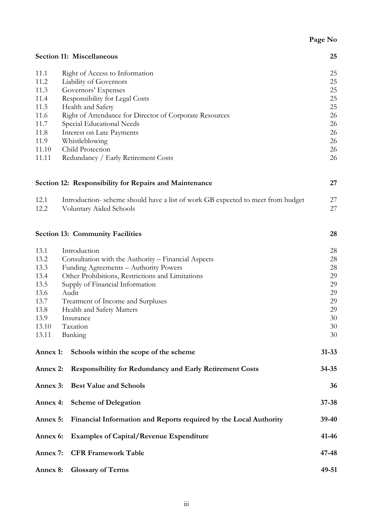# **Page No**

|                                                                                          | Section 11: Miscellaneous                                                       | 25        |  |  |
|------------------------------------------------------------------------------------------|---------------------------------------------------------------------------------|-----------|--|--|
| 11.1                                                                                     | Right of Access to Information                                                  | 25        |  |  |
| 11.2                                                                                     | Liability of Governors                                                          | 25        |  |  |
| 11.3                                                                                     | Governors' Expenses                                                             |           |  |  |
| 11.4                                                                                     | Responsibility for Legal Costs                                                  |           |  |  |
| 11.5                                                                                     | Health and Safety                                                               |           |  |  |
| 11.6                                                                                     | Right of Attendance for Director of Corporate Resources                         | 26        |  |  |
| 11.7                                                                                     | Special Educational Needs                                                       | 26        |  |  |
| 11.8                                                                                     | <b>Interest on Late Payments</b>                                                | 26        |  |  |
| 11.9                                                                                     | Whistleblowing                                                                  | 26        |  |  |
| 11.10                                                                                    | Child Protection                                                                | 26        |  |  |
| 11.11                                                                                    | Redundancy / Early Retirement Costs                                             | 26        |  |  |
|                                                                                          |                                                                                 |           |  |  |
|                                                                                          | Section 12: Responsibility for Repairs and Maintenance                          | 27        |  |  |
| 12.1                                                                                     | Introduction- scheme should have a list of work GB expected to meet from budget | 27        |  |  |
| 12.2                                                                                     | Voluntary Aided Schools                                                         | 27        |  |  |
|                                                                                          | <b>Section 13: Community Facilities</b>                                         | 28        |  |  |
| 13.1                                                                                     | Introduction                                                                    | 28        |  |  |
| 13.2                                                                                     | Consultation with the Authority - Financial Aspects                             | 28        |  |  |
| 13.3                                                                                     | Funding Agreements - Authority Powers                                           | 28        |  |  |
| 13.4                                                                                     | Other Prohibitions, Restrictions and Limitations                                | 29        |  |  |
| 13.5                                                                                     | Supply of Financial Information                                                 | 29        |  |  |
| 13.6                                                                                     | Audit                                                                           | 29        |  |  |
| 13.7                                                                                     | Treatment of Income and Surpluses                                               | 29        |  |  |
| 13.8                                                                                     | Health and Safety Matters                                                       | 29        |  |  |
| 13.9                                                                                     | Insurance                                                                       | 30        |  |  |
| 13.10                                                                                    | Taxation                                                                        | 30        |  |  |
| 13.11                                                                                    | Banking                                                                         | 30        |  |  |
| Annex 1:                                                                                 | Schools within the scope of the scheme                                          | $31 - 33$ |  |  |
|                                                                                          |                                                                                 |           |  |  |
| Annex 2:                                                                                 | <b>Responsibility for Redundancy and Early Retirement Costs</b>                 | $34 - 35$ |  |  |
| Annex 3:                                                                                 | <b>Best Value and Schools</b>                                                   | 36        |  |  |
| Annex 4:                                                                                 | <b>Scheme of Delegation</b>                                                     | $37 - 38$ |  |  |
| Annex 5:<br>Financial Information and Reports required by the Local Authority<br>$39-40$ |                                                                                 |           |  |  |
| Annex 6:                                                                                 | <b>Examples of Capital/Revenue Expenditure</b>                                  | 41-46     |  |  |
| Annex 7:                                                                                 | <b>CFR Framework Table</b>                                                      | 47-48     |  |  |
| Annex 8:                                                                                 | <b>Glossary of Terms</b>                                                        | 49-51     |  |  |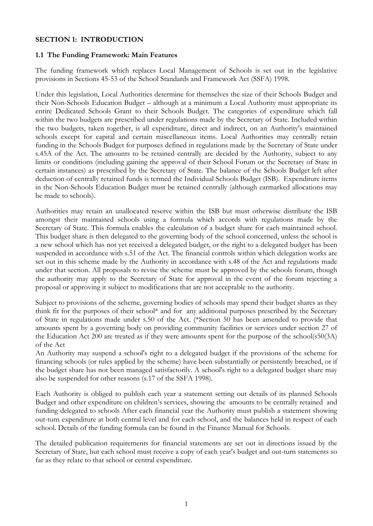# **SECTION 1: INTRODUCTION**

#### **1.1 The Funding Framework: Main Features**

The funding framework which replaces Local Management of Schools is set out in the legislative provisions in Sections 45-53 of the School Standards and Framework Act (SSFA) 1998.

Under this legislation, Local Authorities determine for themselves the size of their Schools Budget and their Non-Schools Education Budget – although at a minimum a Local Authority must appropriate its entire Dedicated Schools Grant to their Schools Budget. The categories of expenditure which fall within the two budgets are prescribed under regulations made by the Secretary of State. Included within the two budgets, taken together, is all expenditure, direct and indirect, on an Authority's maintained schools except for capital and certain miscellaneous items. Local Authorities may centrally retain funding in the Schools Budget for purposes defined in regulations made by the Secretary of State under s.45A of the Act. The amounts to be retained centrally are decided by the Authority, subject to any limits or conditions (including gaining the approval of their School Forum or the Secretary of State in certain instances) as prescribed by the Secretary of State. The balance of the Schools Budget left after deduction of centrally retained funds is termed the Individual Schools Budget (ISB). Expenditure items in the Non-Schools Education Budget must be retained centrally (although earmarked allocations may be made to schools).

Authorities may retain an unallocated reserve within the ISB but must otherwise distribute the ISB amongst their maintained schools using a formula which accords with regulations made by the Secretary of State. This formula enables the calculation of a budget share for each maintained school. This budget share is then delegated to the governing body of the school concerned, unless the school is a new school which has not yet received a delegated budget, or the right to a delegated budget has been suspended in accordance with s.51 of the Act. The financial controls within which delegation works are set out in this scheme made by the Authority in accordance with s.48 of the Act and regulations made under that section. All proposals to revise the scheme must be approved by the schools forum, though the authority may apply to the Secretary of State for approval in the event of the forum rejecting a proposal or approving it subject to modifications that are not acceptable to the authority.

Subject to provisions of the scheme, governing bodies of schools may spend their budget shares as they think fit for the purposes of their school\* and for any additional purposes prescribed by the Secretary of State in regulations made under s.50 of the Act. (\*Section 50 has been amended to provide that amounts spent by a governing body on providing community facilities or services under section 27 of the Education Act 200 are treated as if they were amounts spent for the purpose of the school(s50(3A) of the Act

An Authority may suspend a school's right to a delegated budget if the provisions of the scheme for financing schools (or rules applied by the scheme) have been substantially or persistently breached, or if the budget share has not been managed satisfactorily. A school's right to a delegated budget share may also be suspended for other reasons (s.17 of the SSFA 1998).

Each Authority is obliged to publish each year a statement setting out details of its planned Schools Budget and other expenditure on children's services, showing the amounts to be centrally retained and funding delegated to schools After each financial year the Authority must publish a statement showing out-turn expenditure at both central level and for each school, and the balances held in respect of each school. Details of the funding formula can be found in the Finance Manual for Schools.

The detailed publication requirements for financial statements are set out in directions issued by the Secretary of State, but each school must receive a copy of each year's budget and out-turn statements so far as they relate to that school or central expenditure.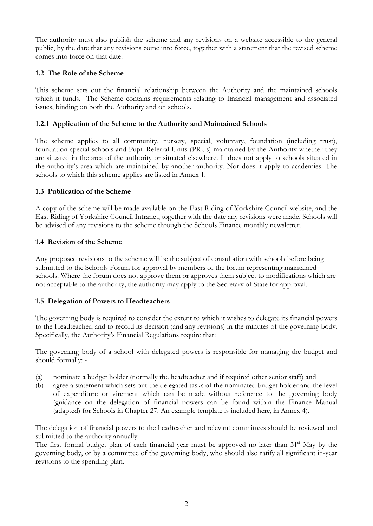The authority must also publish the scheme and any revisions on a website accessible to the general public, by the date that any revisions come into force, together with a statement that the revised scheme comes into force on that date.

# **1.2 The Role of the Scheme**

This scheme sets out the financial relationship between the Authority and the maintained schools which it funds. The Scheme contains requirements relating to financial management and associated issues, binding on both the Authority and on schools.

# **1.2.1 Application of the Scheme to the Authority and Maintained Schools**

The scheme applies to all community, nursery, special, voluntary, foundation (including trust), foundation special schools and Pupil Referral Units (PRUs) maintained by the Authority whether they are situated in the area of the authority or situated elsewhere. It does not apply to schools situated in the authority's area which are maintained by another authority. Nor does it apply to academies. The schools to which this scheme applies are listed in Annex 1.

# **1.3 Publication of the Scheme**

A copy of the scheme will be made available on the East Riding of Yorkshire Council website, and the East Riding of Yorkshire Council Intranet, together with the date any revisions were made. Schools will be advised of any revisions to the scheme through the Schools Finance monthly newsletter.

# **1.4 Revision of the Scheme**

Any proposed revisions to the scheme will be the subject of consultation with schools before being submitted to the Schools Forum for approval by members of the forum representing maintained schools. Where the forum does not approve them or approves them subject to modifications which are not acceptable to the authority, the authority may apply to the Secretary of State for approval.

## **1.5 Delegation of Powers to Headteachers**

The governing body is required to consider the extent to which it wishes to delegate its financial powers to the Headteacher, and to record its decision (and any revisions) in the minutes of the governing body. Specifically, the Authority's Financial Regulations require that:

The governing body of a school with delegated powers is responsible for managing the budget and should formally: -

- (a) nominate a budget holder (normally the headteacher and if required other senior staff) and
- (b) agree a statement which sets out the delegated tasks of the nominated budget holder and the level of expenditure or virement which can be made without reference to the governing body (guidance on the delegation of financial powers can be found within the Finance Manual (adapted) for Schools in Chapter 27. An example template is included here, in Annex 4).

The delegation of financial powers to the headteacher and relevant committees should be reviewed and submitted to the authority annually

The first formal budget plan of each financial year must be approved no later than 31<sup>st</sup> May by the governing body, or by a committee of the governing body, who should also ratify all significant in-year revisions to the spending plan.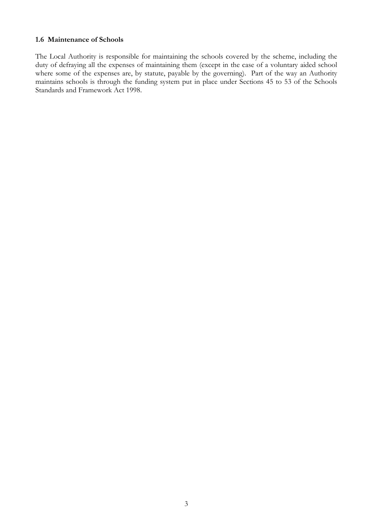## **1.6 Maintenance of Schools**

The Local Authority is responsible for maintaining the schools covered by the scheme, including the duty of defraying all the expenses of maintaining them (except in the case of a voluntary aided school where some of the expenses are, by statute, payable by the governing). Part of the way an Authority maintains schools is through the funding system put in place under Sections 45 to 53 of the Schools Standards and Framework Act 1998.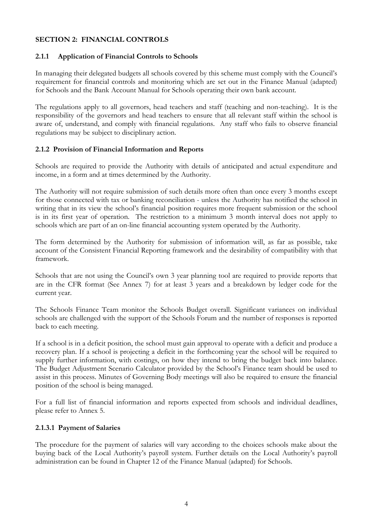# **SECTION 2: FINANCIAL CONTROLS**

# **2.1.1 Application of Financial Controls to Schools**

In managing their delegated budgets all schools covered by this scheme must comply with the Council's requirement for financial controls and monitoring which are set out in the Finance Manual (adapted) for Schools and the Bank Account Manual for Schools operating their own bank account.

The regulations apply to all governors, head teachers and staff (teaching and non-teaching). It is the responsibility of the governors and head teachers to ensure that all relevant staff within the school is aware of, understand, and comply with financial regulations. Any staff who fails to observe financial regulations may be subject to disciplinary action.

# **2.1.2 Provision of Financial Information and Reports**

Schools are required to provide the Authority with details of anticipated and actual expenditure and income, in a form and at times determined by the Authority.

The Authority will not require submission of such details more often than once every 3 months except for those connected with tax or banking reconciliation - unless the Authority has notified the school in writing that in its view the school's financial position requires more frequent submission or the school is in its first year of operation. The restriction to a minimum 3 month interval does not apply to schools which are part of an on-line financial accounting system operated by the Authority.

The form determined by the Authority for submission of information will, as far as possible, take account of the Consistent Financial Reporting framework and the desirability of compatibility with that framework.

Schools that are not using the Council's own 3 year planning tool are required to provide reports that are in the CFR format (See Annex 7) for at least 3 years and a breakdown by ledger code for the current year.

The Schools Finance Team monitor the Schools Budget overall. Significant variances on individual schools are challenged with the support of the Schools Forum and the number of responses is reported back to each meeting.

If a school is in a deficit position, the school must gain approval to operate with a deficit and produce a recovery plan. If a school is projecting a deficit in the forthcoming year the school will be required to supply further information, with costings, on how they intend to bring the budget back into balance. The Budget Adjustment Scenario Calculator provided by the School's Finance team should be used to assist in this process. Minutes of Governing Body meetings will also be required to ensure the financial position of the school is being managed.

For a full list of financial information and reports expected from schools and individual deadlines, please refer to Annex 5.

## **2.1.3.1 Payment of Salaries**

The procedure for the payment of salaries will vary according to the choices schools make about the buying back of the Local Authority's payroll system. Further details on the Local Authority's payroll administration can be found in Chapter 12 of the Finance Manual (adapted) for Schools.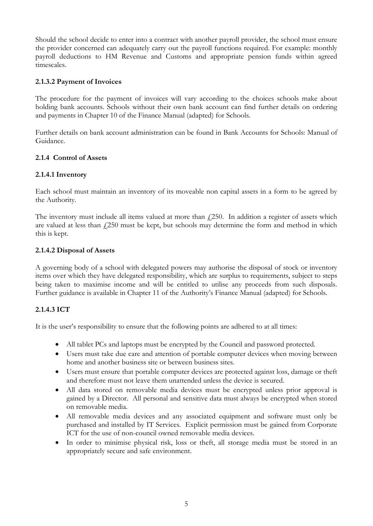Should the school decide to enter into a contract with another payroll provider, the school must ensure the provider concerned can adequately carry out the payroll functions required. For example: monthly payroll deductions to HM Revenue and Customs and appropriate pension funds within agreed timescales.

# **2.1.3.2 Payment of Invoices**

The procedure for the payment of invoices will vary according to the choices schools make about holding bank accounts. Schools without their own bank account can find further details on ordering and payments in Chapter 10 of the Finance Manual (adapted) for Schools.

Further details on bank account administration can be found in Bank Accounts for Schools: Manual of Guidance.

# **2.1.4 Control of Assets**

## **2.1.4.1 Inventory**

Each school must maintain an inventory of its moveable non capital assets in a form to be agreed by the Authority.

The inventory must include all items valued at more than  $f(250)$ . In addition a register of assets which are valued at less than  $f(250 \text{ must be kept})$ , but schools may determine the form and method in which this is kept.

## **2.1.4.2 Disposal of Assets**

A governing body of a school with delegated powers may authorise the disposal of stock or inventory items over which they have delegated responsibility, which are surplus to requirements, subject to steps being taken to maximise income and will be entitled to utilise any proceeds from such disposals. Further guidance is available in Chapter 11 of the Authority's Finance Manual (adapted) for Schools.

## **2.1.4.3 ICT**

It is the user's responsibility to ensure that the following points are adhered to at all times:

- All tablet PCs and laptops must be encrypted by the Council and password protected.
- Users must take due care and attention of portable computer devices when moving between home and another business site or between business sites.
- Users must ensure that portable computer devices are protected against loss, damage or theft and therefore must not leave them unattended unless the device is secured.
- All data stored on removable media devices must be encrypted unless prior approval is gained by a Director. All personal and sensitive data must always be encrypted when stored on removable media.
- All removable media devices and any associated equipment and software must only be purchased and installed by IT Services. Explicit permission must be gained from Corporate ICT for the use of non-council owned removable media devices.
- In order to minimise physical risk, loss or theft, all storage media must be stored in an appropriately secure and safe environment.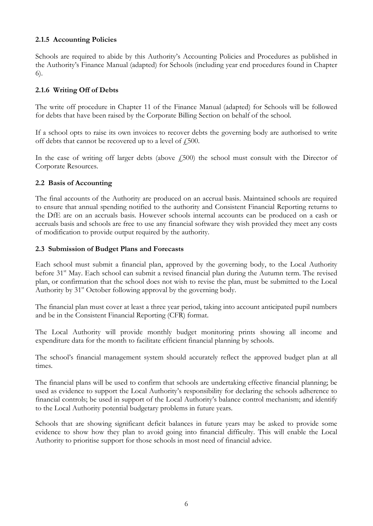# **2.1.5 Accounting Policies**

Schools are required to abide by this Authority's Accounting Policies and Procedures as published in the Authority's Finance Manual (adapted) for Schools (including year end procedures found in Chapter 6).

# **2.1.6 Writing Off of Debts**

The write off procedure in Chapter 11 of the Finance Manual (adapted) for Schools will be followed for debts that have been raised by the Corporate Billing Section on behalf of the school.

If a school opts to raise its own invoices to recover debts the governing body are authorised to write off debts that cannot be recovered up to a level of  $\sqrt{2500}$ .

In the case of writing off larger debts (above  $f<sub>z</sub>500$ ) the school must consult with the Director of Corporate Resources.

## **2.2 Basis of Accounting**

The final accounts of the Authority are produced on an accrual basis. Maintained schools are required to ensure that annual spending notified to the authority and Consistent Financial Reporting returns to the DfE are on an accruals basis. However schools internal accounts can be produced on a cash or accruals basis and schools are free to use any financial software they wish provided they meet any costs of modification to provide output required by the authority.

## **2.3 Submission of Budget Plans and Forecasts**

Each school must submit a financial plan, approved by the governing body, to the Local Authority before 31<sup>st</sup> May. Each school can submit a revised financial plan during the Autumn term. The revised plan, or confirmation that the school does not wish to revise the plan, must be submitted to the Local Authority by 31<sup>st</sup> October following approval by the governing body.

The financial plan must cover at least a three year period, taking into account anticipated pupil numbers and be in the Consistent Financial Reporting (CFR) format.

The Local Authority will provide monthly budget monitoring prints showing all income and expenditure data for the month to facilitate efficient financial planning by schools.

The school's financial management system should accurately reflect the approved budget plan at all times.

The financial plans will be used to confirm that schools are undertaking effective financial planning; be used as evidence to support the Local Authority's responsibility for declaring the schools adherence to financial controls; be used in support of the Local Authority's balance control mechanism; and identify to the Local Authority potential budgetary problems in future years.

Schools that are showing significant deficit balances in future years may be asked to provide some evidence to show how they plan to avoid going into financial difficulty. This will enable the Local Authority to prioritise support for those schools in most need of financial advice.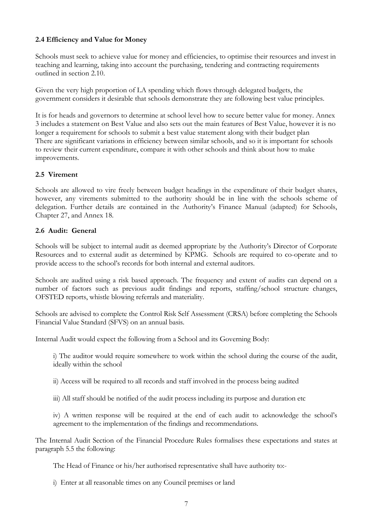# **2.4 Efficiency and Value for Money**

Schools must seek to achieve value for money and efficiencies, to optimise their resources and invest in teaching and learning, taking into account the purchasing, tendering and contracting requirements outlined in section 2.10.

Given the very high proportion of LA spending which flows through delegated budgets, the government considers it desirable that schools demonstrate they are following best value principles.

It is for heads and governors to determine at school level how to secure better value for money. Annex 3 includes a statement on Best Value and also sets out the main features of Best Value, however it is no longer a requirement for schools to submit a best value statement along with their budget plan There are significant variations in efficiency between similar schools, and so it is important for schools to review their current expenditure, compare it with other schools and think about how to make improvements.

# **2.5 Virement**

Schools are allowed to vire freely between budget headings in the expenditure of their budget shares, however, any virements submitted to the authority should be in line with the schools scheme of delegation. Further details are contained in the Authority's Finance Manual (adapted) for Schools, Chapter 27, and Annex 18.

# **2.6 Audit: General**

Schools will be subject to internal audit as deemed appropriate by the Authority's Director of Corporate Resources and to external audit as determined by KPMG. Schools are required to co-operate and to provide access to the school's records for both internal and external auditors.

Schools are audited using a risk based approach. The frequency and extent of audits can depend on a number of factors such as previous audit findings and reports, staffing/school structure changes, OFSTED reports, whistle blowing referrals and materiality.

Schools are advised to complete the Control Risk Self Assessment (CRSA) before completing the Schools Financial Value Standard (SFVS) on an annual basis.

Internal Audit would expect the following from a School and its Governing Body:

i) The auditor would require somewhere to work within the school during the course of the audit, ideally within the school

ii) Access will be required to all records and staff involved in the process being audited

iii) All staff should be notified of the audit process including its purpose and duration etc

iv) A written response will be required at the end of each audit to acknowledge the school's agreement to the implementation of the findings and recommendations.

The Internal Audit Section of the Financial Procedure Rules formalises these expectations and states at paragraph 5.5 the following:

The Head of Finance or his/her authorised representative shall have authority to:-

i) Enter at all reasonable times on any Council premises or land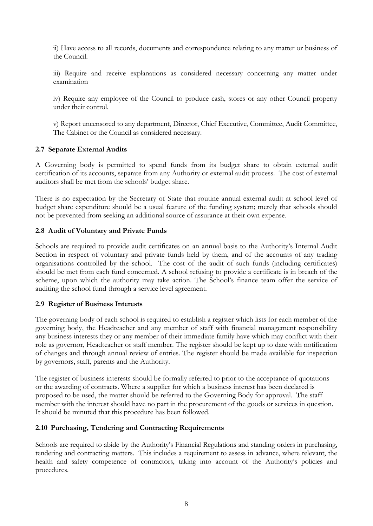ii) Have access to all records, documents and correspondence relating to any matter or business of the Council.

iii) Require and receive explanations as considered necessary concerning any matter under examination

iv) Require any employee of the Council to produce cash, stores or any other Council property under their control.

v) Report uncensored to any department, Director, Chief Executive, Committee, Audit Committee, The Cabinet or the Council as considered necessary.

## **2.7 Separate External Audits**

A Governing body is permitted to spend funds from its budget share to obtain external audit certification of its accounts, separate from any Authority or external audit process. The cost of external auditors shall be met from the schools' budget share.

There is no expectation by the Secretary of State that routine annual external audit at school level of budget share expenditure should be a usual feature of the funding system; merely that schools should not be prevented from seeking an additional source of assurance at their own expense.

# **2.8 Audit of Voluntary and Private Funds**

Schools are required to provide audit certificates on an annual basis to the Authority's Internal Audit Section in respect of voluntary and private funds held by them, and of the accounts of any trading organisations controlled by the school. The cost of the audit of such funds (including certificates) should be met from each fund concerned. A school refusing to provide a certificate is in breach of the scheme, upon which the authority may take action. The School's finance team offer the service of auditing the school fund through a service level agreement.

## **2.9 Register of Business Interests**

The governing body of each school is required to establish a register which lists for each member of the governing body, the Headteacher and any member of staff with financial management responsibility any business interests they or any member of their immediate family have which may conflict with their role as governor, Headteacher or staff member. The register should be kept up to date with notification of changes and through annual review of entries. The register should be made available for inspection by governors, staff, parents and the Authority.

The register of business interests should be formally referred to prior to the acceptance of quotations or the awarding of contracts. Where a supplier for which a business interest has been declared is proposed to be used, the matter should be referred to the Governing Body for approval. The staff member with the interest should have no part in the procurement of the goods or services in question. It should be minuted that this procedure has been followed.

# **2.10 Purchasing, Tendering and Contracting Requirements**

Schools are required to abide by the Authority's Financial Regulations and standing orders in purchasing, tendering and contracting matters. This includes a requirement to assess in advance, where relevant, the health and safety competence of contractors, taking into account of the Authority's policies and procedures.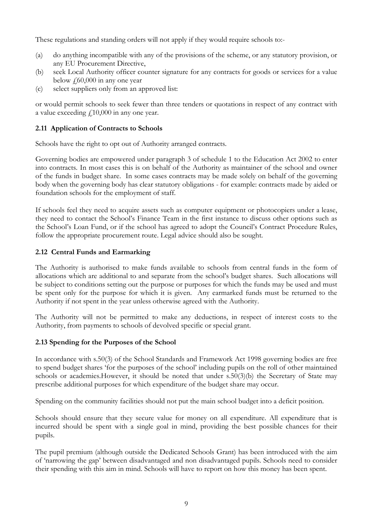These regulations and standing orders will not apply if they would require schools to:-

- (a) do anything incompatible with any of the provisions of the scheme, or any statutory provision, or any EU Procurement Directive,
- (b) seek Local Authority officer counter signature for any contracts for goods or services for a value below  $\sqrt{60,000}$  in any one year
- (c) select suppliers only from an approved list:

or would permit schools to seek fewer than three tenders or quotations in respect of any contract with a value exceeding  $\mu$ 10,000 in any one year.

# **2.11 Application of Contracts to Schools**

Schools have the right to opt out of Authority arranged contracts.

Governing bodies are empowered under paragraph 3 of schedule 1 to the Education Act 2002 to enter into contracts. In most cases this is on behalf of the Authority as maintainer of the school and owner of the funds in budget share. In some cases contracts may be made solely on behalf of the governing body when the governing body has clear statutory obligations - for example: contracts made by aided or foundation schools for the employment of staff.

If schools feel they need to acquire assets such as computer equipment or photocopiers under a lease, they need to contact the School's Finance Team in the first instance to discuss other options such as the School's Loan Fund, or if the school has agreed to adopt the Council's Contract Procedure Rules, follow the appropriate procurement route. Legal advice should also be sought.

# **2.12 Central Funds and Earmarking**

The Authority is authorised to make funds available to schools from central funds in the form of allocations which are additional to and separate from the school's budget shares. Such allocations will be subject to conditions setting out the purpose or purposes for which the funds may be used and must be spent only for the purpose for which it is given. Any earmarked funds must be returned to the Authority if not spent in the year unless otherwise agreed with the Authority.

The Authority will not be permitted to make any deductions, in respect of interest costs to the Authority, from payments to schools of devolved specific or special grant.

## **2.13 Spending for the Purposes of the School**

In accordance with s.50(3) of the School Standards and Framework Act 1998 governing bodies are free to spend budget shares 'for the purposes of the school' including pupils on the roll of other maintained schools or academies.However, it should be noted that under s.50(3)(b) the Secretary of State may prescribe additional purposes for which expenditure of the budget share may occur.

Spending on the community facilities should not put the main school budget into a deficit position.

Schools should ensure that they secure value for money on all expenditure. All expenditure that is incurred should be spent with a single goal in mind, providing the best possible chances for their pupils.

The pupil premium (although outside the Dedicated Schools Grant) has been introduced with the aim of 'narrowing the gap' between disadvantaged and non disadvantaged pupils. Schools need to consider their spending with this aim in mind. Schools will have to report on how this money has been spent.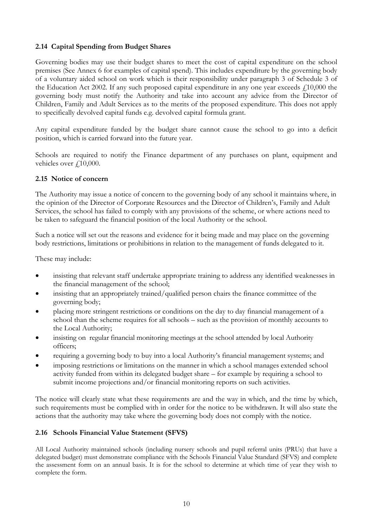# **2.14 Capital Spending from Budget Shares**

Governing bodies may use their budget shares to meet the cost of capital expenditure on the school premises (See Annex 6 for examples of capital spend). This includes expenditure by the governing body of a voluntary aided school on work which is their responsibility under paragraph 3 of Schedule 3 of the Education Act 2002. If any such proposed capital expenditure in any one year exceeds  $\ell$ 10,000 the governing body must notify the Authority and take into account any advice from the Director of Children, Family and Adult Services as to the merits of the proposed expenditure. This does not apply to specifically devolved capital funds e.g. devolved capital formula grant.

Any capital expenditure funded by the budget share cannot cause the school to go into a deficit position, which is carried forward into the future year.

Schools are required to notify the Finance department of any purchases on plant, equipment and vehicles over  $f(10,000)$ .

## **2.15 Notice of concern**

The Authority may issue a notice of concern to the governing body of any school it maintains where, in the opinion of the Director of Corporate Resources and the Director of Children's, Family and Adult Services, the school has failed to comply with any provisions of the scheme, or where actions need to be taken to safeguard the financial position of the local Authority or the school.

Such a notice will set out the reasons and evidence for it being made and may place on the governing body restrictions, limitations or prohibitions in relation to the management of funds delegated to it.

These may include:

- insisting that relevant staff undertake appropriate training to address any identified weaknesses in the financial management of the school;
- insisting that an appropriately trained/qualified person chairs the finance committee of the governing body;
- placing more stringent restrictions or conditions on the day to day financial management of a school than the scheme requires for all schools – such as the provision of monthly accounts to the Local Authority;
- insisting on regular financial monitoring meetings at the school attended by local Authority officers;
- requiring a governing body to buy into a local Authority's financial management systems; and
- imposing restrictions or limitations on the manner in which a school manages extended school activity funded from within its delegated budget share – for example by requiring a school to submit income projections and/or financial monitoring reports on such activities.

The notice will clearly state what these requirements are and the way in which, and the time by which, such requirements must be complied with in order for the notice to be withdrawn. It will also state the actions that the authority may take where the governing body does not comply with the notice.

## **2.16 Schools Financial Value Statement (SFVS)**

All Local Authority maintained schools (including nursery schools and pupil referral units (PRUs) that have a delegated budget) must demonstrate compliance with the Schools Financial Value Standard (SFVS) and complete the assessment form on an annual basis. It is for the school to determine at which time of year they wish to complete the form.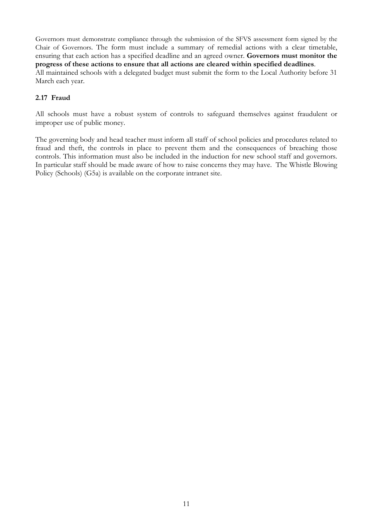Governors must demonstrate compliance through the submission of the SFVS assessment form signed by the Chair of Governors. The form must include a summary of remedial actions with a clear timetable, ensuring that each action has a specified deadline and an agreed owner. **Governors must monitor the progress of these actions to ensure that all actions are cleared within specified deadlines**. All maintained schools with a delegated budget must submit the form to the Local Authority before 31 March each year.

# **2.17 Fraud**

All schools must have a robust system of controls to safeguard themselves against fraudulent or improper use of public money.

The governing body and head teacher must inform all staff of school policies and procedures related to fraud and theft, the controls in place to prevent them and the consequences of breaching those controls. This information must also be included in the induction for new school staff and governors. In particular staff should be made aware of how to raise concerns they may have. The Whistle Blowing Policy (Schools) (G5a) is available on the corporate intranet site.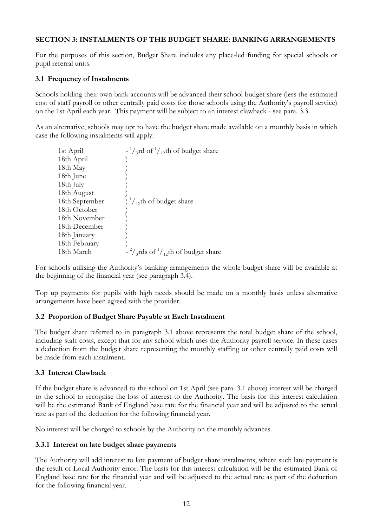# **SECTION 3: INSTALMENTS OF THE BUDGET SHARE: BANKING ARRANGEMENTS**

For the purposes of this section, Budget Share includes any place-led funding for special schools or pupil referral units.

# **3.1 Frequency of Instalments**

Schools holding their own bank accounts will be advanced their school budget share (less the estimated cost of staff payroll or other centrally paid costs for those schools using the Authority's payroll service) on the 1st April each year. This payment will be subject to an interest clawback - see para. 3.3.

As an alternative, schools may opt to have the budget share made available on a monthly basis in which case the following instalments will apply:

| 1st April      | $\frac{1}{2}$ and of $\frac{1}{12}$ th of budget share |
|----------------|--------------------------------------------------------|
| 18th April     |                                                        |
| 18th May       |                                                        |
| 18th June      |                                                        |
| 18th July      |                                                        |
| 18th August    |                                                        |
| 18th September | $\frac{1}{12}$ th of budget share                      |
| 18th October   |                                                        |
| 18th November  |                                                        |
| 18th December  |                                                        |
| 18th January   |                                                        |
| 18th February  |                                                        |
| 18th March     | $\frac{2}{3}$ and $\frac{1}{12}$ th of budget share    |

For schools utilising the Authority's banking arrangements the whole budget share will be available at the beginning of the financial year (see paragraph 3.4).

Top up payments for pupils with high needs should be made on a monthly basis unless alternative arrangements have been agreed with the provider.

# **3.2 Proportion of Budget Share Payable at Each Instalment**

The budget share referred to in paragraph 3.1 above represents the total budget share of the school, including staff costs, except that for any school which uses the Authority payroll service. In these cases a deduction from the budget share representing the monthly staffing or other centrally paid costs will be made from each instalment.

## **3.3 Interest Clawback**

If the budget share is advanced to the school on 1st April (see para. 3.1 above) interest will be charged to the school to recognise the loss of interest to the Authority. The basis for this interest calculation will be the estimated Bank of England base rate for the financial year and will be adjusted to the actual rate as part of the deduction for the following financial year.

No interest will be charged to schools by the Authority on the monthly advances.

## **3.3.1 Interest on late budget share payments**

The Authority will add interest to late payment of budget share instalments, where such late payment is the result of Local Authority error. The basis for this interest calculation will be the estimated Bank of England base rate for the financial year and will be adjusted to the actual rate as part of the deduction for the following financial year.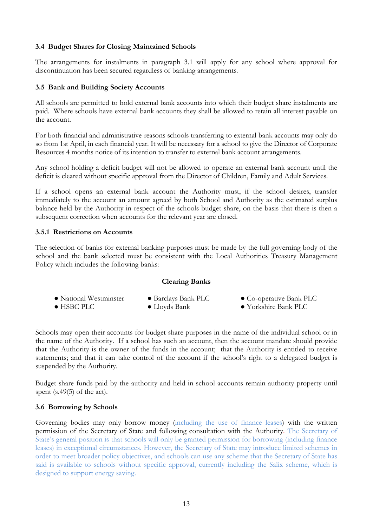# **3.4 Budget Shares for Closing Maintained Schools**

The arrangements for instalments in paragraph 3.1 will apply for any school where approval for discontinuation has been secured regardless of banking arrangements.

# **3.5 Bank and Building Society Accounts**

All schools are permitted to hold external bank accounts into which their budget share instalments are paid. Where schools have external bank accounts they shall be allowed to retain all interest payable on the account.

For both financial and administrative reasons schools transferring to external bank accounts may only do so from 1st April, in each financial year. It will be necessary for a school to give the Director of Corporate Resources 4 months notice of its intention to transfer to external bank account arrangements.

Any school holding a deficit budget will not be allowed to operate an external bank account until the deficit is cleared without specific approval from the Director of Children, Family and Adult Services.

If a school opens an external bank account the Authority must, if the school desires, transfer immediately to the account an amount agreed by both School and Authority as the estimated surplus balance held by the Authority in respect of the schools budget share, on the basis that there is then a subsequent correction when accounts for the relevant year are closed.

## **3.5.1 Restrictions on Accounts**

The selection of banks for external banking purposes must be made by the full governing body of the school and the bank selected must be consistent with the Local Authorities Treasury Management Policy which includes the following banks:

## **Clearing Banks**

| • National Westminster | • Barclays Bank PLC   | • Co-operative Bank PLC |
|------------------------|-----------------------|-------------------------|
| $\bullet$ HSBC PLC     | $\bullet$ Lloyds Bank | • Yorkshire Bank PLC    |

Schools may open their accounts for budget share purposes in the name of the individual school or in the name of the Authority. If a school has such an account, then the account mandate should provide that the Authority is the owner of the funds in the account; that the Authority is entitled to receive statements; and that it can take control of the account if the school's right to a delegated budget is suspended by the Authority.

Budget share funds paid by the authority and held in school accounts remain authority property until spent (s.49(5) of the act).

## **3.6 Borrowing by Schools**

Governing bodies may only borrow money (including the use of finance leases) with the written permission of the Secretary of State and following consultation with the Authority. The Secretary of State's general position is that schools will only be granted permission for borrowing (including finance leases) in exceptional circumstances. However, the Secretary of State may introduce limited schemes in order to meet broader policy objectives, and schools can use any scheme that the Secretary of State has said is available to schools without specific approval, currently including the Salix scheme, which is designed to support energy saving.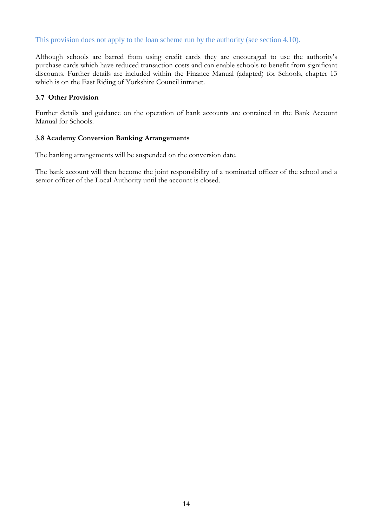# This provision does not apply to the loan scheme run by the authority (see section 4.10).

Although schools are barred from using credit cards they are encouraged to use the authority's purchase cards which have reduced transaction costs and can enable schools to benefit from significant discounts. Further details are included within the Finance Manual (adapted) for Schools, chapter 13 which is on the East Riding of Yorkshire Council intranet.

#### **3.7 Other Provision**

Further details and guidance on the operation of bank accounts are contained in the Bank Account Manual for Schools.

#### **3.8 Academy Conversion Banking Arrangements**

The banking arrangements will be suspended on the conversion date.

The bank account will then become the joint responsibility of a nominated officer of the school and a senior officer of the Local Authority until the account is closed.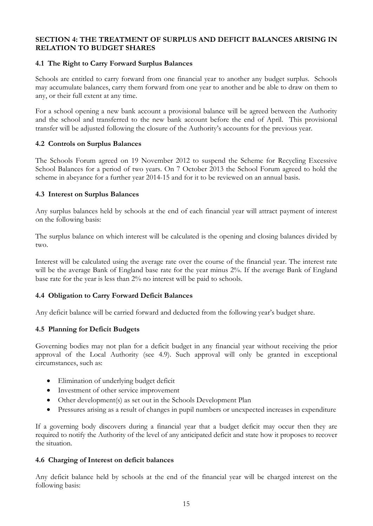# **SECTION 4: THE TREATMENT OF SURPLUS AND DEFICIT BALANCES ARISING IN RELATION TO BUDGET SHARES**

# **4.1 The Right to Carry Forward Surplus Balances**

Schools are entitled to carry forward from one financial year to another any budget surplus. Schools may accumulate balances, carry them forward from one year to another and be able to draw on them to any, or their full extent at any time.

For a school opening a new bank account a provisional balance will be agreed between the Authority and the school and transferred to the new bank account before the end of April. This provisional transfer will be adjusted following the closure of the Authority's accounts for the previous year.

## **4.2 Controls on Surplus Balances**

The Schools Forum agreed on 19 November 2012 to suspend the Scheme for Recycling Excessive School Balances for a period of two years. On 7 October 2013 the School Forum agreed to hold the scheme in abeyance for a further year 2014-15 and for it to be reviewed on an annual basis.

## **4.3 Interest on Surplus Balances**

Any surplus balances held by schools at the end of each financial year will attract payment of interest on the following basis:

The surplus balance on which interest will be calculated is the opening and closing balances divided by two.

Interest will be calculated using the average rate over the course of the financial year. The interest rate will be the average Bank of England base rate for the year minus 2%. If the average Bank of England base rate for the year is less than 2% no interest will be paid to schools.

# **4.4 Obligation to Carry Forward Deficit Balances**

Any deficit balance will be carried forward and deducted from the following year's budget share.

## **4.5 Planning for Deficit Budgets**

Governing bodies may not plan for a deficit budget in any financial year without receiving the prior approval of the Local Authority (see 4.9). Such approval will only be granted in exceptional circumstances, such as:

- Elimination of underlying budget deficit
- Investment of other service improvement
- Other development(s) as set out in the Schools Development Plan
- Pressures arising as a result of changes in pupil numbers or unexpected increases in expenditure

If a governing body discovers during a financial year that a budget deficit may occur then they are required to notify the Authority of the level of any anticipated deficit and state how it proposes to recover the situation.

## **4.6 Charging of Interest on deficit balances**

Any deficit balance held by schools at the end of the financial year will be charged interest on the following basis: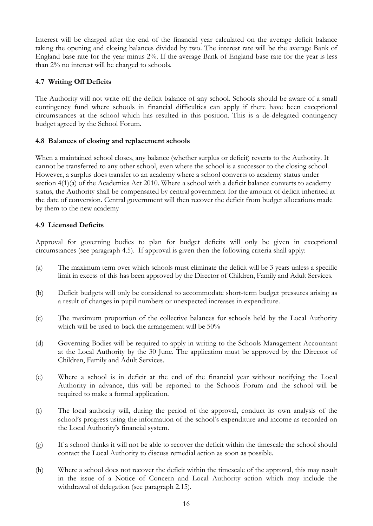Interest will be charged after the end of the financial year calculated on the average deficit balance taking the opening and closing balances divided by two. The interest rate will be the average Bank of England base rate for the year minus 2%. If the average Bank of England base rate for the year is less than 2% no interest will be charged to schools.

# **4.7 Writing Off Deficits**

The Authority will not write off the deficit balance of any school. Schools should be aware of a small contingency fund where schools in financial difficulties can apply if there have been exceptional circumstances at the school which has resulted in this position. This is a de-delegated contingency budget agreed by the School Forum.

# **4.8 Balances of closing and replacement schools**

When a maintained school closes, any balance (whether surplus or deficit) reverts to the Authority. It cannot be transferred to any other school, even where the school is a successor to the closing school. However, a surplus does transfer to an academy where a school converts to academy status under section 4(1)(a) of the Academies Act 2010. Where a school with a deficit balance converts to academy status, the Authority shall be compensated by central government for the amount of deficit inherited at the date of conversion. Central government will then recover the deficit from budget allocations made by them to the new academy

# **4.9 Licensed Deficits**

Approval for governing bodies to plan for budget deficits will only be given in exceptional circumstances (see paragraph 4.5). If approval is given then the following criteria shall apply:

- (a) The maximum term over which schools must eliminate the deficit will be 3 years unless a specific limit in excess of this has been approved by the Director of Children, Family and Adult Services.
- (b) Deficit budgets will only be considered to accommodate short-term budget pressures arising as a result of changes in pupil numbers or unexpected increases in expenditure.
- (c) The maximum proportion of the collective balances for schools held by the Local Authority which will be used to back the arrangement will be 50%
- (d) Governing Bodies will be required to apply in writing to the Schools Management Accountant at the Local Authority by the 30 June. The application must be approved by the Director of Children, Family and Adult Services.
- (e) Where a school is in deficit at the end of the financial year without notifying the Local Authority in advance, this will be reported to the Schools Forum and the school will be required to make a formal application.
- (f) The local authority will, during the period of the approval, conduct its own analysis of the school's progress using the information of the school's expenditure and income as recorded on the Local Authority's financial system.
- (g) If a school thinks it will not be able to recover the deficit within the timescale the school should contact the Local Authority to discuss remedial action as soon as possible.
- (h) Where a school does not recover the deficit within the timescale of the approval, this may result in the issue of a Notice of Concern and Local Authority action which may include the withdrawal of delegation (see paragraph 2.15).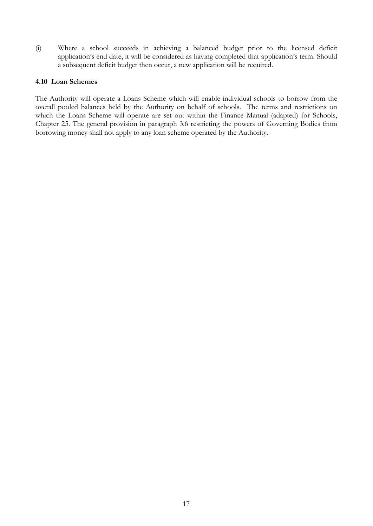(i) Where a school succeeds in achieving a balanced budget prior to the licensed deficit application's end date, it will be considered as having completed that application's term. Should a subsequent deficit budget then occur, a new application will be required.

#### **4.10 Loan Schemes**

The Authority will operate a Loans Scheme which will enable individual schools to borrow from the overall pooled balances held by the Authority on behalf of schools. The terms and restrictions on which the Loans Scheme will operate are set out within the Finance Manual (adapted) for Schools, Chapter 25. The general provision in paragraph 3.6 restricting the powers of Governing Bodies from borrowing money shall not apply to any loan scheme operated by the Authority.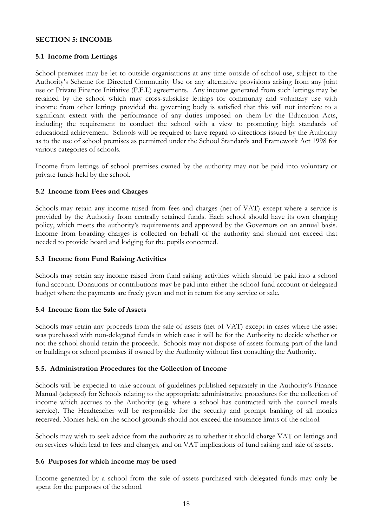## **SECTION 5: INCOME**

## **5.1 Income from Lettings**

School premises may be let to outside organisations at any time outside of school use, subject to the Authority's Scheme for Directed Community Use or any alternative provisions arising from any joint use or Private Finance Initiative (P.F.I.) agreements. Any income generated from such lettings may be retained by the school which may cross-subsidise lettings for community and voluntary use with income from other lettings provided the governing body is satisfied that this will not interfere to a significant extent with the performance of any duties imposed on them by the Education Acts, including the requirement to conduct the school with a view to promoting high standards of educational achievement. Schools will be required to have regard to directions issued by the Authority as to the use of school premises as permitted under the School Standards and Framework Act 1998 for various categories of schools.

Income from lettings of school premises owned by the authority may not be paid into voluntary or private funds held by the school.

## **5.2 Income from Fees and Charges**

Schools may retain any income raised from fees and charges (net of VAT) except where a service is provided by the Authority from centrally retained funds. Each school should have its own charging policy, which meets the authority's requirements and approved by the Governors on an annual basis. Income from boarding charges is collected on behalf of the authority and should not exceed that needed to provide board and lodging for the pupils concerned.

#### **5.3 Income from Fund Raising Activities**

Schools may retain any income raised from fund raising activities which should be paid into a school fund account. Donations or contributions may be paid into either the school fund account or delegated budget where the payments are freely given and not in return for any service or sale.

#### **5.4 Income from the Sale of Assets**

Schools may retain any proceeds from the sale of assets (net of VAT) except in cases where the asset was purchased with non-delegated funds in which case it will be for the Authority to decide whether or not the school should retain the proceeds. Schools may not dispose of assets forming part of the land or buildings or school premises if owned by the Authority without first consulting the Authority.

#### **5.5. Administration Procedures for the Collection of Income**

Schools will be expected to take account of guidelines published separately in the Authority's Finance Manual (adapted) for Schools relating to the appropriate administrative procedures for the collection of income which accrues to the Authority (e.g. where a school has contracted with the council meals service). The Headteacher will be responsible for the security and prompt banking of all monies received. Monies held on the school grounds should not exceed the insurance limits of the school.

Schools may wish to seek advice from the authority as to whether it should charge VAT on lettings and on services which lead to fees and charges, and on VAT implications of fund raising and sale of assets.

#### **5.6 Purposes for which income may be used**

Income generated by a school from the sale of assets purchased with delegated funds may only be spent for the purposes of the school.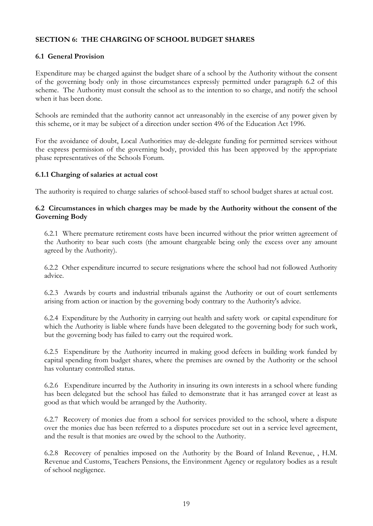# **SECTION 6: THE CHARGING OF SCHOOL BUDGET SHARES**

# **6.1 General Provision**

Expenditure may be charged against the budget share of a school by the Authority without the consent of the governing body only in those circumstances expressly permitted under paragraph 6.2 of this scheme. The Authority must consult the school as to the intention to so charge, and notify the school when it has been done.

Schools are reminded that the authority cannot act unreasonably in the exercise of any power given by this scheme, or it may be subject of a direction under section 496 of the Education Act 1996.

For the avoidance of doubt, Local Authorities may de-delegate funding for permitted services without the express permission of the governing body, provided this has been approved by the appropriate phase representatives of the Schools Forum.

## **6.1.1 Charging of salaries at actual cost**

The authority is required to charge salaries of school-based staff to school budget shares at actual cost.

# **6.2 Circumstances in which charges may be made by the Authority without the consent of the Governing Body**

6.2.1 Where premature retirement costs have been incurred without the prior written agreement of the Authority to bear such costs (the amount chargeable being only the excess over any amount agreed by the Authority).

6.2.2 Other expenditure incurred to secure resignations where the school had not followed Authority advice.

6.2.3 Awards by courts and industrial tribunals against the Authority or out of court settlements arising from action or inaction by the governing body contrary to the Authority's advice.

6.2.4 Expenditure by the Authority in carrying out health and safety work or capital expenditure for which the Authority is liable where funds have been delegated to the governing body for such work, but the governing body has failed to carry out the required work.

6.2.5 Expenditure by the Authority incurred in making good defects in building work funded by capital spending from budget shares, where the premises are owned by the Authority or the school has voluntary controlled status.

6.2.6 Expenditure incurred by the Authority in insuring its own interests in a school where funding has been delegated but the school has failed to demonstrate that it has arranged cover at least as good as that which would be arranged by the Authority.

6.2.7 Recovery of monies due from a school for services provided to the school, where a dispute over the monies due has been referred to a disputes procedure set out in a service level agreement, and the result is that monies are owed by the school to the Authority.

6.2.8 Recovery of penalties imposed on the Authority by the Board of Inland Revenue, , H.M. Revenue and Customs, Teachers Pensions, the Environment Agency or regulatory bodies as a result of school negligence.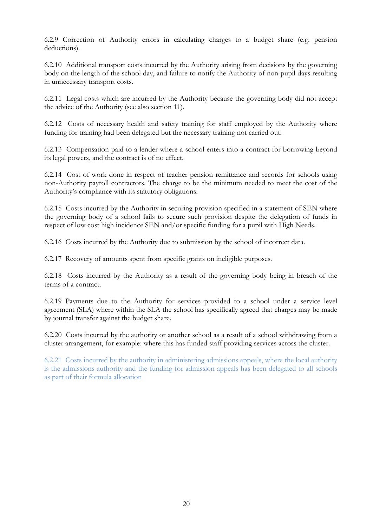6.2.9 Correction of Authority errors in calculating charges to a budget share (e.g. pension deductions).

6.2.10 Additional transport costs incurred by the Authority arising from decisions by the governing body on the length of the school day, and failure to notify the Authority of non-pupil days resulting in unnecessary transport costs.

6.2.11 Legal costs which are incurred by the Authority because the governing body did not accept the advice of the Authority (see also section 11).

6.2.12 Costs of necessary health and safety training for staff employed by the Authority where funding for training had been delegated but the necessary training not carried out.

6.2.13 Compensation paid to a lender where a school enters into a contract for borrowing beyond its legal powers, and the contract is of no effect.

6.2.14 Cost of work done in respect of teacher pension remittance and records for schools using non-Authority payroll contractors. The charge to be the minimum needed to meet the cost of the Authority's compliance with its statutory obligations.

6.2.15 Costs incurred by the Authority in securing provision specified in a statement of SEN where the governing body of a school fails to secure such provision despite the delegation of funds in respect of low cost high incidence SEN and/or specific funding for a pupil with High Needs.

6.2.16 Costs incurred by the Authority due to submission by the school of incorrect data.

6.2.17 Recovery of amounts spent from specific grants on ineligible purposes.

6.2.18 Costs incurred by the Authority as a result of the governing body being in breach of the terms of a contract.

6.2.19 Payments due to the Authority for services provided to a school under a service level agreement (SLA) where within the SLA the school has specifically agreed that charges may be made by journal transfer against the budget share.

6.2.20 Costs incurred by the authority or another school as a result of a school withdrawing from a cluster arrangement, for example: where this has funded staff providing services across the cluster.

6.2.21 Costs incurred by the authority in administering admissions appeals, where the local authority is the admissions authority and the funding for admission appeals has been delegated to all schools as part of their formula allocation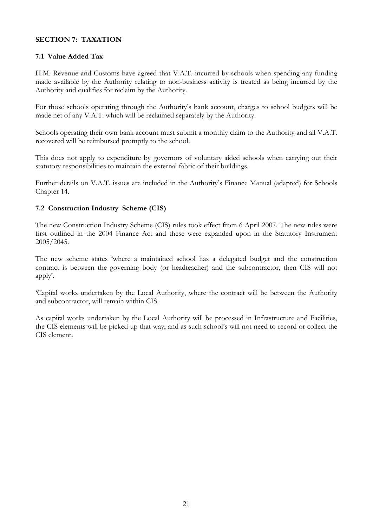# **SECTION 7: TAXATION**

# **7.1 Value Added Tax**

H.M. Revenue and Customs have agreed that V.A.T. incurred by schools when spending any funding made available by the Authority relating to non-business activity is treated as being incurred by the Authority and qualifies for reclaim by the Authority.

For those schools operating through the Authority's bank account, charges to school budgets will be made net of any V.A.T. which will be reclaimed separately by the Authority.

Schools operating their own bank account must submit a monthly claim to the Authority and all V.A.T. recovered will be reimbursed promptly to the school.

This does not apply to expenditure by governors of voluntary aided schools when carrying out their statutory responsibilities to maintain the external fabric of their buildings.

Further details on V.A.T. issues are included in the Authority's Finance Manual (adapted) for Schools Chapter 14.

# **7.2 Construction Industry Scheme (CIS)**

The new Construction Industry Scheme (CIS) rules took effect from 6 April 2007. The new rules were first outlined in the 2004 Finance Act and these were expanded upon in the Statutory Instrument 2005/2045.

The new scheme states 'where a maintained school has a delegated budget and the construction contract is between the governing body (or headteacher) and the subcontractor, then CIS will not apply'.

'Capital works undertaken by the Local Authority, where the contract will be between the Authority and subcontractor, will remain within CIS.

As capital works undertaken by the Local Authority will be processed in Infrastructure and Facilities, the CIS elements will be picked up that way, and as such school's will not need to record or collect the CIS element.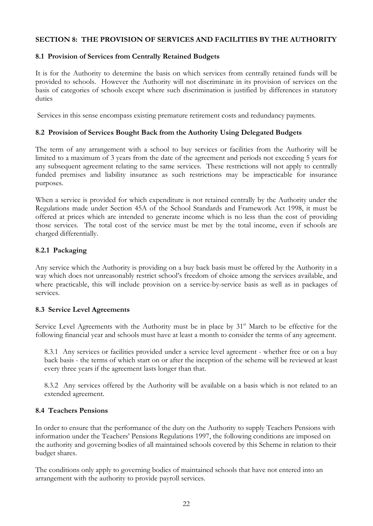# **SECTION 8: THE PROVISION OF SERVICES AND FACILITIES BY THE AUTHORITY**

# **8.1 Provision of Services from Centrally Retained Budgets**

It is for the Authority to determine the basis on which services from centrally retained funds will be provided to schools. However the Authority will not discriminate in its provision of services on the basis of categories of schools except where such discrimination is justified by differences in statutory duties

Services in this sense encompass existing premature retirement costs and redundancy payments.

# **8.2 Provision of Services Bought Back from the Authority Using Delegated Budgets**

The term of any arrangement with a school to buy services or facilities from the Authority will be limited to a maximum of 3 years from the date of the agreement and periods not exceeding 5 years for any subsequent agreement relating to the same services. These restrictions will not apply to centrally funded premises and liability insurance as such restrictions may be impracticable for insurance purposes.

When a service is provided for which expenditure is not retained centrally by the Authority under the Regulations made under Section 45A of the School Standards and Framework Act 1998, it must be offered at prices which are intended to generate income which is no less than the cost of providing those services. The total cost of the service must be met by the total income, even if schools are charged differentially.

# **8.2.1 Packaging**

Any service which the Authority is providing on a buy back basis must be offered by the Authority in a way which does not unreasonably restrict school's freedom of choice among the services available, and where practicable, this will include provision on a service-by-service basis as well as in packages of services.

## **8.3 Service Level Agreements**

Service Level Agreements with the Authority must be in place by  $31<sup>st</sup>$  March to be effective for the following financial year and schools must have at least a month to consider the terms of any agreement.

8.3.1 Any services or facilities provided under a service level agreement - whether free or on a buy back basis - the terms of which start on or after the inception of the scheme will be reviewed at least every three years if the agreement lasts longer than that.

8.3.2 Any services offered by the Authority will be available on a basis which is not related to an extended agreement.

## **8.4 Teachers Pensions**

In order to ensure that the performance of the duty on the Authority to supply Teachers Pensions with information under the Teachers' Pensions Regulations 1997, the following conditions are imposed on the authority and governing bodies of all maintained schools covered by this Scheme in relation to their budget shares.

The conditions only apply to governing bodies of maintained schools that have not entered into an arrangement with the authority to provide payroll services.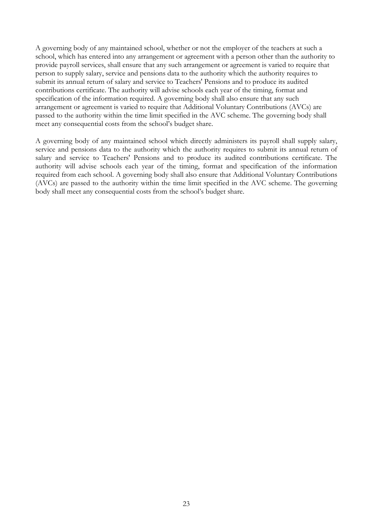A governing body of any maintained school, whether or not the employer of the teachers at such a school, which has entered into any arrangement or agreement with a person other than the authority to provide payroll services, shall ensure that any such arrangement or agreement is varied to require that person to supply salary, service and pensions data to the authority which the authority requires to submit its annual return of salary and service to Teachers' Pensions and to produce its audited contributions certificate. The authority will advise schools each year of the timing, format and specification of the information required. A governing body shall also ensure that any such arrangement or agreement is varied to require that Additional Voluntary Contributions (AVCs) are passed to the authority within the time limit specified in the AVC scheme. The governing body shall meet any consequential costs from the school's budget share.

A governing body of any maintained school which directly administers its payroll shall supply salary, service and pensions data to the authority which the authority requires to submit its annual return of salary and service to Teachers' Pensions and to produce its audited contributions certificate. The authority will advise schools each year of the timing, format and specification of the information required from each school. A governing body shall also ensure that Additional Voluntary Contributions (AVCs) are passed to the authority within the time limit specified in the AVC scheme. The governing body shall meet any consequential costs from the school's budget share.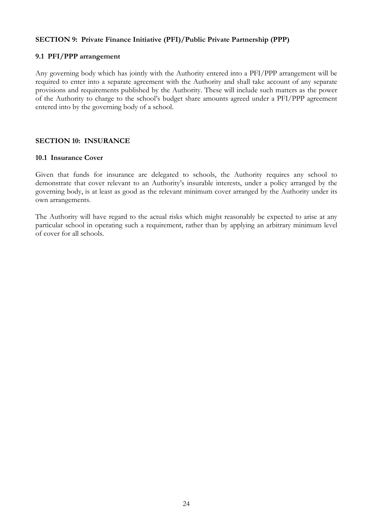# **SECTION 9: Private Finance Initiative (PFI)/Public Private Partnership (PPP)**

## **9.1 PFI/PPP arrangement**

Any governing body which has jointly with the Authority entered into a PFI/PPP arrangement will be required to enter into a separate agreement with the Authority and shall take account of any separate provisions and requirements published by the Authority. These will include such matters as the power of the Authority to charge to the school's budget share amounts agreed under a PFI/PPP agreement entered into by the governing body of a school.

## **SECTION 10: INSURANCE**

#### **10.1 Insurance Cover**

Given that funds for insurance are delegated to schools, the Authority requires any school to demonstrate that cover relevant to an Authority's insurable interests, under a policy arranged by the governing body, is at least as good as the relevant minimum cover arranged by the Authority under its own arrangements.

The Authority will have regard to the actual risks which might reasonably be expected to arise at any particular school in operating such a requirement, rather than by applying an arbitrary minimum level of cover for all schools.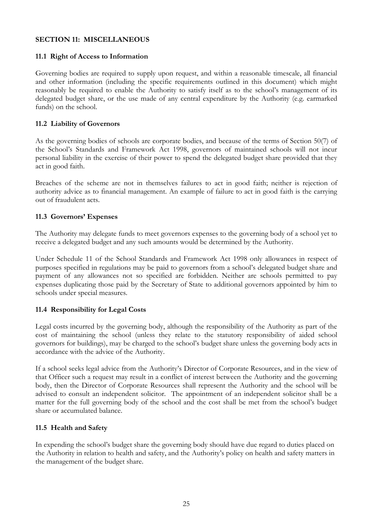# **SECTION 11: MISCELLANEOUS**

## **11.1 Right of Access to Information**

Governing bodies are required to supply upon request, and within a reasonable timescale, all financial and other information (including the specific requirements outlined in this document) which might reasonably be required to enable the Authority to satisfy itself as to the school's management of its delegated budget share, or the use made of any central expenditure by the Authority (e.g. earmarked funds) on the school.

## **11.2 Liability of Governors**

As the governing bodies of schools are corporate bodies, and because of the terms of Section 50(7) of the School's Standards and Framework Act 1998, governors of maintained schools will not incur personal liability in the exercise of their power to spend the delegated budget share provided that they act in good faith.

Breaches of the scheme are not in themselves failures to act in good faith; neither is rejection of authority advice as to financial management. An example of failure to act in good faith is the carrying out of fraudulent acts.

## **11.3 Governors' Expenses**

The Authority may delegate funds to meet governors expenses to the governing body of a school yet to receive a delegated budget and any such amounts would be determined by the Authority.

Under Schedule 11 of the School Standards and Framework Act 1998 only allowances in respect of purposes specified in regulations may be paid to governors from a school's delegated budget share and payment of any allowances not so specified are forbidden. Neither are schools permitted to pay expenses duplicating those paid by the Secretary of State to additional governors appointed by him to schools under special measures.

## **11.4 Responsibility for Legal Costs**

Legal costs incurred by the governing body, although the responsibility of the Authority as part of the cost of maintaining the school (unless they relate to the statutory responsibility of aided school governors for buildings), may be charged to the school's budget share unless the governing body acts in accordance with the advice of the Authority.

If a school seeks legal advice from the Authority's Director of Corporate Resources, and in the view of that Officer such a request may result in a conflict of interest between the Authority and the governing body, then the Director of Corporate Resources shall represent the Authority and the school will be advised to consult an independent solicitor. The appointment of an independent solicitor shall be a matter for the full governing body of the school and the cost shall be met from the school's budget share or accumulated balance.

## **11.5 Health and Safety**

In expending the school's budget share the governing body should have due regard to duties placed on the Authority in relation to health and safety, and the Authority's policy on health and safety matters in the management of the budget share.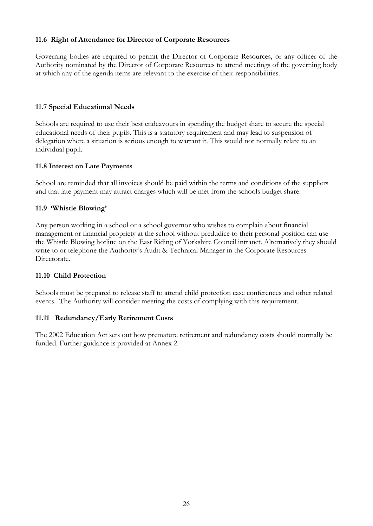# **11.6 Right of Attendance for Director of Corporate Resources**

Governing bodies are required to permit the Director of Corporate Resources, or any officer of the Authority nominated by the Director of Corporate Resources to attend meetings of the governing body at which any of the agenda items are relevant to the exercise of their responsibilities.

# **11.7 Special Educational Needs**

Schools are required to use their best endeavours in spending the budget share to secure the special educational needs of their pupils. This is a statutory requirement and may lead to suspension of delegation where a situation is serious enough to warrant it. This would not normally relate to an individual pupil.

# **11.8 Interest on Late Payments**

School are reminded that all invoices should be paid within the terms and conditions of the suppliers and that late payment may attract charges which will be met from the schools budget share.

# **11.9 'Whistle Blowing'**

Any person working in a school or a school governor who wishes to complain about financial management or financial propriety at the school without predudice to their personal position can use the Whistle Blowing hotline on the East Riding of Yorkshire Council intranet. Alternatively they should write to or telephone the Authority's Audit & Technical Manager in the Corporate Resources Directorate.

## **11.10 Child Protection**

Schools must be prepared to release staff to attend child protection case conferences and other related events. The Authority will consider meeting the costs of complying with this requirement.

## **11.11 Redundancy/Early Retirement Costs**

The 2002 Education Act sets out how premature retirement and redundancy costs should normally be funded. Further guidance is provided at Annex 2.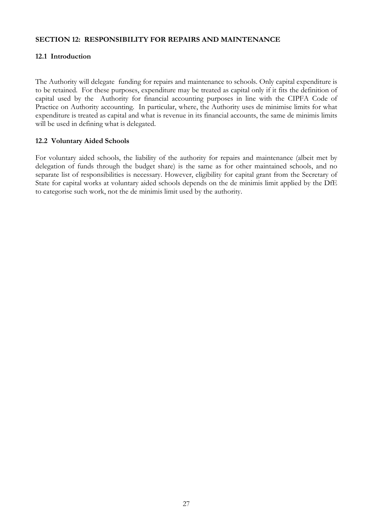# **SECTION 12: RESPONSIBILITY FOR REPAIRS AND MAINTENANCE**

# **12.1 Introduction**

The Authority will delegate funding for repairs and maintenance to schools. Only capital expenditure is to be retained. For these purposes, expenditure may be treated as capital only if it fits the definition of capital used by the Authority for financial accounting purposes in line with the CIPFA Code of Practice on Authority accounting. In particular, where, the Authority uses de minimise limits for what expenditure is treated as capital and what is revenue in its financial accounts, the same de minimis limits will be used in defining what is delegated.

# **12.2 Voluntary Aided Schools**

For voluntary aided schools, the liability of the authority for repairs and maintenance (albeit met by delegation of funds through the budget share) is the same as for other maintained schools, and no separate list of responsibilities is necessary. However, eligibility for capital grant from the Secretary of State for capital works at voluntary aided schools depends on the de minimis limit applied by the DfE to categorise such work, not the de minimis limit used by the authority.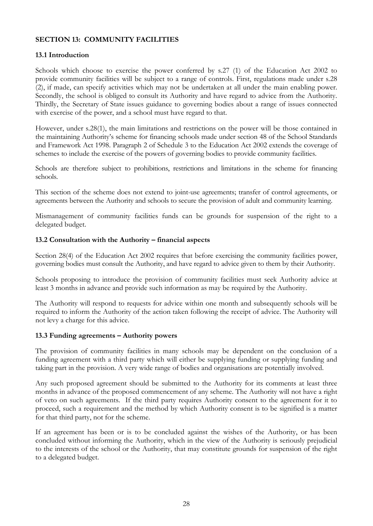# **SECTION 13: COMMUNITY FACILITIES**

# **13.1 Introduction**

Schools which choose to exercise the power conferred by s.27 (1) of the Education Act 2002 to provide community facilities will be subject to a range of controls. First, regulations made under s.28 (2), if made, can specify activities which may not be undertaken at all under the main enabling power. Secondly, the school is obliged to consult its Authority and have regard to advice from the Authority. Thirdly, the Secretary of State issues guidance to governing bodies about a range of issues connected with exercise of the power, and a school must have regard to that.

However, under s.28(1), the main limitations and restrictions on the power will be those contained in the maintaining Authority's scheme for financing schools made under section 48 of the School Standards and Framework Act 1998. Paragraph 2 of Schedule 3 to the Education Act 2002 extends the coverage of schemes to include the exercise of the powers of governing bodies to provide community facilities.

Schools are therefore subject to prohibitions, restrictions and limitations in the scheme for financing schools.

This section of the scheme does not extend to joint-use agreements; transfer of control agreements, or agreements between the Authority and schools to secure the provision of adult and community learning.

Mismanagement of community facilities funds can be grounds for suspension of the right to a delegated budget.

## **13.2 Consultation with the Authority – financial aspects**

Section 28(4) of the Education Act 2002 requires that before exercising the community facilities power, governing bodies must consult the Authority, and have regard to advice given to them by their Authority.

Schools proposing to introduce the provision of community facilities must seek Authority advice at least 3 months in advance and provide such information as may be required by the Authority.

The Authority will respond to requests for advice within one month and subsequently schools will be required to inform the Authority of the action taken following the receipt of advice. The Authority will not levy a charge for this advice.

#### **13.3 Funding agreements – Authority powers**

The provision of community facilities in many schools may be dependent on the conclusion of a funding agreement with a third party which will either be supplying funding or supplying funding and taking part in the provision. A very wide range of bodies and organisations are potentially involved.

Any such proposed agreement should be submitted to the Authority for its comments at least three months in advance of the proposed commencement of any scheme. The Authority will not have a right of veto on such agreements. If the third party requires Authority consent to the agreement for it to proceed, such a requirement and the method by which Authority consent is to be signified is a matter for that third party, not for the scheme.

If an agreement has been or is to be concluded against the wishes of the Authority, or has been concluded without informing the Authority, which in the view of the Authority is seriously prejudicial to the interests of the school or the Authority, that may constitute grounds for suspension of the right to a delegated budget.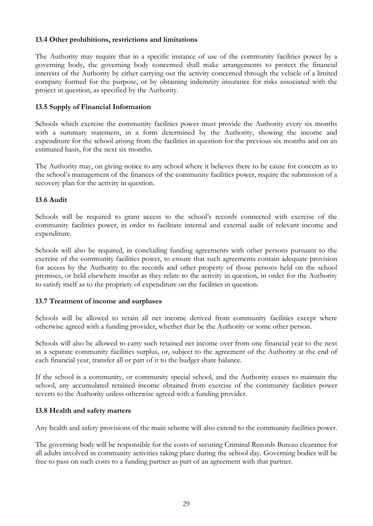## **13.4 Other prohibitions, restrictions and limitations**

The Authority may require that in a specific instance of use of the community facilities power by a governing body, the governing body concerned shall make arrangements to protect the financial interests of the Authority by either carrying out the activity concerned through the vehicle of a limited company formed for the purpose, or by obtaining indemnity insurance for risks associated with the project in question, as specified by the Authority.

## **13.5 Supply of Financial Information**

Schools which exercise the community facilities power must provide the Authority every six months with a summary statement, in a form determined by the Authority, showing the income and expenditure for the school arising from the facilities in question for the previous six months and on an estimated basis, for the next six months.

The Authority may, on giving notice to any school where it believes there to be cause for concern as to the school's management of the finances of the community facilities power, require the submission of a recovery plan for the activity in question.

## **13.6 Audit**

Schools will be required to grant access to the school's records connected with exercise of the community facilities power, in order to facilitate internal and external audit of relevant income and expenditure.

Schools will also be required, in concluding funding agreements with other persons pursuant to the exercise of the community facilities power, to ensure that such agreements contain adequate provision for access by the Authority to the records and other property of those persons held on the school premises, or held elsewhere insofar as they relate to the activity in question, in order for the Authority to satisfy itself as to the propriety of expenditure on the facilities in question.

## **13.7 Treatment of income and surpluses**

Schools will be allowed to retain all net income derived from community facilities except where otherwise agreed with a funding provider, whether that be the Authority or some other person.

Schools will also be allowed to carry such retained net income over from one financial year to the next as a separate community facilities surplus, or, subject to the agreement of the Authority at the end of each financial year, transfer all or part of it to the budget share balance.

If the school is a community, or community special school, and the Authority ceases to maintain the school, any accumulated retained income obtained from exercise of the community facilities power reverts to the Authority unless otherwise agreed with a funding provider.

## **13.8 Health and safety matters**

Any health and safety provisions of the main scheme will also extend to the community facilities power.

The governing body will be responsible for the costs of securing Criminal Records Bureau clearance for all adults involved in community activities taking place during the school day. Governing bodies will be free to pass on such costs to a funding partner as part of an agreement with that partner.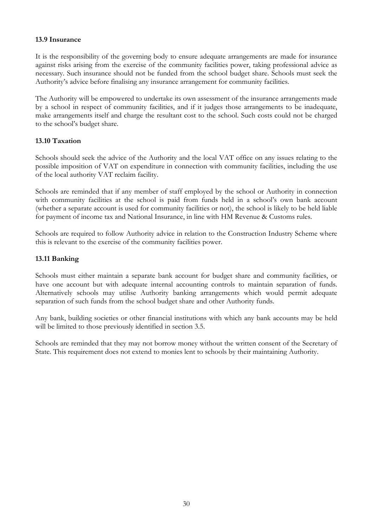# **13.9 Insurance**

It is the responsibility of the governing body to ensure adequate arrangements are made for insurance against risks arising from the exercise of the community facilities power, taking professional advice as necessary. Such insurance should not be funded from the school budget share. Schools must seek the Authority's advice before finalising any insurance arrangement for community facilities.

The Authority will be empowered to undertake its own assessment of the insurance arrangements made by a school in respect of community facilities, and if it judges those arrangements to be inadequate, make arrangements itself and charge the resultant cost to the school. Such costs could not be charged to the school's budget share.

# **13.10 Taxation**

Schools should seek the advice of the Authority and the local VAT office on any issues relating to the possible imposition of VAT on expenditure in connection with community facilities, including the use of the local authority VAT reclaim facility.

Schools are reminded that if any member of staff employed by the school or Authority in connection with community facilities at the school is paid from funds held in a school's own bank account (whether a separate account is used for community facilities or not), the school is likely to be held liable for payment of income tax and National Insurance, in line with HM Revenue & Customs rules.

Schools are required to follow Authority advice in relation to the Construction Industry Scheme where this is relevant to the exercise of the community facilities power.

# **13.11 Banking**

Schools must either maintain a separate bank account for budget share and community facilities, or have one account but with adequate internal accounting controls to maintain separation of funds. Alternatively schools may utilise Authority banking arrangements which would permit adequate separation of such funds from the school budget share and other Authority funds.

Any bank, building societies or other financial institutions with which any bank accounts may be held will be limited to those previously identified in section 3.5.

Schools are reminded that they may not borrow money without the written consent of the Secretary of State. This requirement does not extend to monies lent to schools by their maintaining Authority.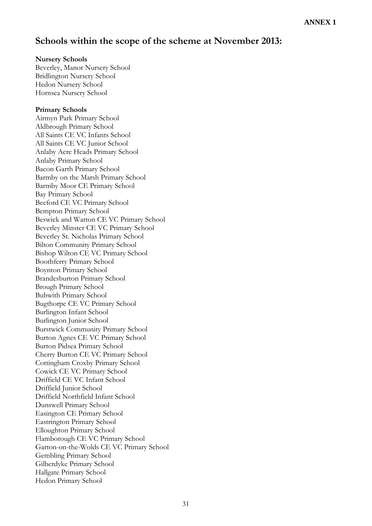# **Schools within the scope of the scheme at November 2013:**

#### **Nursery Schools**

Beverley, Manor Nursery School Bridlington Nursery School Hedon Nursery School Hornsea Nursery School

# **Primary Schools**

Airmyn Park Primary School Aldbrough Primary School All Saints CE VC Infants School All Saints CE VC Junior School Anlaby Acre Heads Primary School Anlaby Primary School Bacon Garth Primary School Barmby on the Marsh Primary School Barmby Moor CE Primary School Bay Primary School Beeford CE VC Primary School Bempton Primary School Beswick and Watton CE VC Primary School Beverley Minster CE VC Primary School Beverley St. Nicholas Primary School Bilton Community Primary School Bishop Wilton CE VC Primary School Boothferry Primary School Boynton Primary School Brandesburton Primary School Brough Primary School Bubwith Primary School Bugthorpe CE VC Primary School Burlington Infant School Burlington Junior School Burstwick Community Primary School Burton Agnes CE VC Primary School Burton Pidsea Primary School Cherry Burton CE VC Primary School Cottingham Croxby Primary School Cowick CE VC Primary School Driffield CE VC Infant School Driffield Junior School Driffield Northfield Infant School Dunswell Primary School Easington CE Primary School Eastrington Primary School Elloughton Primary School Flamborough CE VC Primary School Garton-on-the-Wolds CE VC Primary School Gembling Primary School Gilberdyke Primary School Hallgate Primary School Hedon Primary School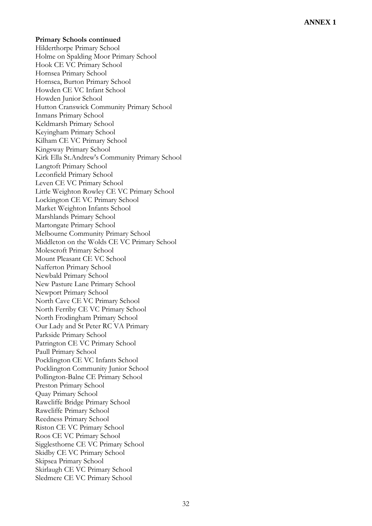**Primary Schools continued** Hilderthorpe Primary School Holme on Spalding Moor Primary School Hook CE VC Primary School Hornsea Primary School Hornsea, Burton Primary School Howden CE VC Infant School Howden Junior School Hutton Cranswick Community Primary School Inmans Primary Schoo l Keldmarsh Primary School Keyingham Primary School Kilham CE VC Primary School Kingsway Primary School Kirk Ella St.Andrew's Community Primary School Langtoft Primary School Leconfield Primary School Leven CE VC Primary School Little Weighton Rowley CE VC Primary School Lockington CE VC Primary School Market Weighton Infants School Marshlands Primary School Martongate Primary School Melbourne Community Primary School Middleton on the Wolds CE VC Primary School Molescroft Primary School Mount Pleasant CE VC School Nafferton Primary School Newbald Primary School New Pasture Lane Primary School Newport Primary School North Cave CE VC Primary School North Ferriby CE VC Primary School North Frodingham Primary School Our Lady and St Peter RC VA Primary Parkside Primary School Patrington CE VC Primary School Paull Primary School Pocklington CE VC Infants School Pocklington Community Junior School Pollington -Balne CE Primary School Preston Primary School Quay Primary School Rawcliffe Bridge Primary School Rawcliffe Primary School Reedness Primary School Riston CE VC Primary School Roos CE VC Primary School Sigglesthorne CE VC Primary School Skidby CE VC Primary School Skipsea Primary School Skirlaugh CE VC Primary School Sledmere CE VC Primary School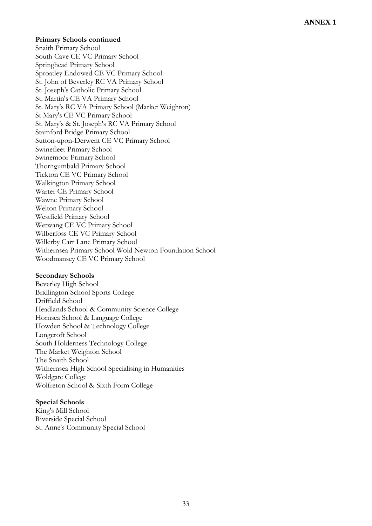#### **Primary Schools continued**

Snaith Primary School South Cave CE VC Primary School Springhead Primary School Sproatley Endowed CE VC Primary School St. John of Beverley RC VA Primary School St. Joseph's Catholic Primary School St. Martin's CE VA Primary School St. Mary's RC VA Primary School (Market Weighton) St Mary's CE VC Primary School St. Mary's & St. Joseph's RC VA Primary School Stamford Bridge Primary School Sutton-upon-Derwent CE VC Primary School Swinefleet Primary School Swinemoor Primary School Thorngumbald Primary School Tickton CE VC Primary School Walkington Primary School Warter CE Primary School Wawne Primary School Welton Primary School Westfield Primary School Wetwang CE VC Primary School Wilberfoss CE VC Primary School Willerby Carr Lane Primary School Withernsea Primary School Wold Newton Foundation School Woodmansey CE VC Primary School

#### **Secondary Schools**

Beverley High School Bridlington School Sports College Driffield School Headlands School & Community Science College Hornsea School & Language College Howden School & Technology College Longcroft School South Holderness Technology College The Market Weighton School The Snaith School Withernsea High School Specialising in Humanities Woldgate College Wolfreton School & Sixth Form College

## **Special Schools**

King's Mill School Riverside Special School St. Anne's Community Special School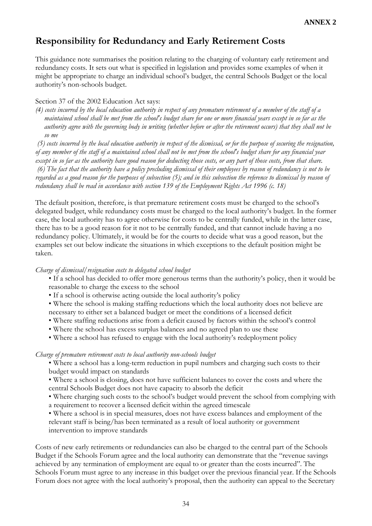# **Responsibility for Redundancy and Early Retirement Costs**

This guidance note summarises the position relating to the charging of voluntary early retirement and redundancy costs. It sets out what is specified in legislation and provides some examples of when it might be appropriate to charge an individual school's budget, the central Schools Budget or the local authority's non-schools budget.

# Section 37 of the 2002 Education Act says:

*(4) costs incurred by the local education authority in respect of any premature retirement of a member of the staff of a maintained school shall be met from the school's budget share for one or more financial years except in so far as the authority agree with the governing body in writing (whether before or after the retirement occurs) that they shall not be so me*

*(5) costs incurred by the local education authority in respect of the dismissal, or for the purpose of securing the resignation, of any member of the staff of a maintained school shall not be met from the school's budget share for any financial year except in so far as the authority have good reason for deducting those costs, or any part of those costs, from that share. (6) The fact that the authority have a policy precluding dismissal of their employees by reason of redundancy is not to be regarded as a good reason for the purposes of subsection (5); and in this subsection the reference to dismissal by reason of redundancy shall be read in accordance with section 139 of the Employment Rights Act 1996 (c. 18)*

The default position, therefore, is that premature retirement costs must be charged to the school's delegated budget, while redundancy costs must be charged to the local authority's budget. In the former case, the local authority has to agree otherwise for costs to be centrally funded, while in the latter case, there has to be a good reason for it not to be centrally funded, and that cannot include having a no redundancy policy. Ultimately, it would be for the courts to decide what was a good reason, but the examples set out below indicate the situations in which exceptions to the default position might be taken.

## *Charge of dismissal/resignation costs to delegated school budget*

- If a school has decided to offer more generous terms than the authority's policy, then it would be reasonable to charge the excess to the school
- If a school is otherwise acting outside the local authority's policy
- Where the school is making staffing reductions which the local authority does not believe are necessary to either set a balanced budget or meet the conditions of a licensed deficit
- Where staffing reductions arise from a deficit caused by factors within the school's control
- Where the school has excess surplus balances and no agreed plan to use these
- Where a school has refused to engage with the local authority's redeployment policy

## *Charge of premature retirement costs to local authority non-schools budget*

- Where a school has a long-term reduction in pupil numbers and charging such costs to their budget would impact on standards
- Where a school is closing, does not have sufficient balances to cover the costs and where the central Schools Budget does not have capacity to absorb the deficit
- Where charging such costs to the school's budget would prevent the school from complying with a requirement to recover a licensed deficit within the agreed timescale
- Where a school is in special measures, does not have excess balances and employment of the relevant staff is being/has been terminated as a result of local authority or government intervention to improve standards

Costs of new early retirements or redundancies can also be charged to the central part of the Schools Budget if the Schools Forum agree and the local authority can demonstrate that the "revenue savings achieved by any termination of employment are equal to or greater than the costs incurred". The Schools Forum must agree to any increase in this budget over the previous financial year. If the Schools Forum does not agree with the local authority's proposal, then the authority can appeal to the Secretary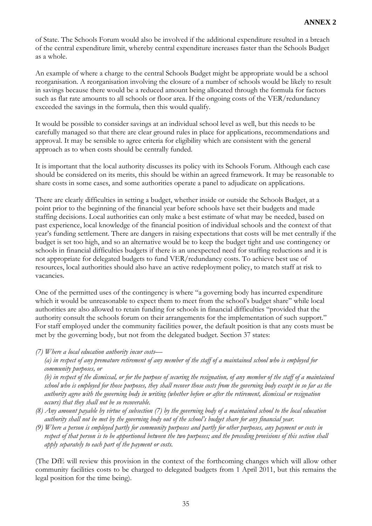of State. The Schools Forum would also be involved if the additional expenditure resulted in a breach of the central expenditure limit, whereby central expenditure increases faster than the Schools Budget as a whole.

An example of where a charge to the central Schools Budget might be appropriate would be a school reorganisation. A reorganisation involving the closure of a number of schools would be likely to result in savings because there would be a reduced amount being allocated through the formula for factors such as flat rate amounts to all schools or floor area. If the ongoing costs of the VER/redundancy exceeded the savings in the formula, then this would qualify.

It would be possible to consider savings at an individual school level as well, but this needs to be carefully managed so that there are clear ground rules in place for applications, recommendations and approval. It may be sensible to agree criteria for eligibility which are consistent with the general approach as to when costs should be centrally funded.

It is important that the local authority discusses its policy with its Schools Forum. Although each case should be considered on its merits, this should be within an agreed framework. It may be reasonable to share costs in some cases, and some authorities operate a panel to adjudicate on applications.

There are clearly difficulties in setting a budget, whether inside or outside the Schools Budget, at a point prior to the beginning of the financial year before schools have set their budgets and made staffing decisions. Local authorities can only make a best estimate of what may be needed, based on past experience, local knowledge of the financial position of individual schools and the context of that year's funding settlement. There are dangers in raising expectations that costs will be met centrally if the budget is set too high, and so an alternative would be to keep the budget tight and use contingency or schools in financial difficulties budgets if there is an unexpected need for staffing reductions and it is not appropriate for delegated budgets to fund VER/redundancy costs. To achieve best use of resources, local authorities should also have an active redeployment policy, to match staff at risk to vacancies.

One of the permitted uses of the contingency is where "a governing body has incurred expenditure which it would be unreasonable to expect them to meet from the school's budget share" while local authorities are also allowed to retain funding for schools in financial difficulties "provided that the authority consult the schools forum on their arrangements for the implementation of such support." For staff employed under the community facilities power, the default position is that any costs must be met by the governing body, but not from the delegated budget. Section 37 states:

*(7) Where a local education authority incur costs—*

*(a) in respect of any premature retirement of any member of the staff of a maintained school who is employed for community purposes, or* 

*(b) in respect of the dismissal, or for the purpose of securing the resignation, of any member of the staff of a maintained school who is employed for those purposes, they shall recover those costs from the governing body except in so far as the authority agree with the governing body in writing (whether before or after the retirement, dismissal or resignation occurs) that they shall not be so recoverable.* 

- *(8) Any amount payable by virtue of subsection (7) by the governing body of a maintained school to the local education authority shall not be met by the governing body out of the school's budget share for any financial year.*
- *(9) Where a person is employed partly for community purposes and partly for other purposes, any payment or costs in respect of that person is to be apportioned between the two purposes; and the preceding provisions of this section shall apply separately to each part of the payment or costs.*

(The DfE will review this provision in the context of the forthcoming changes which will allow other community facilities costs to be charged to delegated budgets from 1 April 2011, but this remains the legal position for the time being).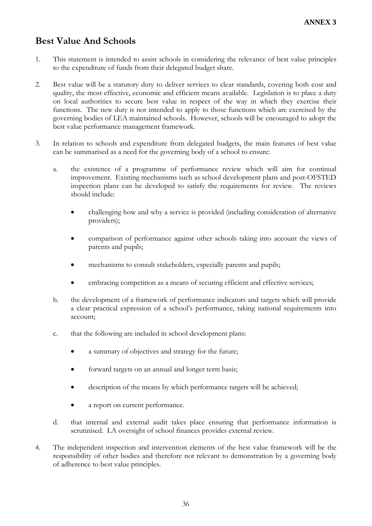# **Best Value And Schools**

- 1. This statement is intended to assist schools in considering the relevance of best value principles to the expenditure of funds from their delegated budget share.
- 2. Best value will be a statutory duty to deliver services to clear standards, covering both cost and quality, the most effective, economic and efficient means available. Legislation is to place a duty on local authorities to secure best value in respect of the way in which they exercise their functions. The new duty is not intended to apply to those functions which are exercised by the governing bodies of LEA maintained schools. However, schools will be encouraged to adopt the best value performance management framework.
- 3. In relation to schools and expenditure from delegated budgets, the main features of best value can be summarised as a need for the governing body of a school to ensure:
	- a. the existence of a programme of performance review which will aim for continual improvement. Existing mechanisms such as school development plans and post-OFSTED inspection plans can be developed to satisfy the requirements for review. The reviews should include:
		- challenging how and why a service is provided (including consideration of alternative providers);
		- comparison of performance against other schools taking into account the views of parents and pupils;
		- mechanisms to consult stakeholders, especially parents and pupils;
		- embracing competition as a means of securing efficient and effective services;
	- b. the development of a framework of performance indicators and targets which will provide a clear practical expression of a school's performance, taking national requirements into account;
	- c. that the following are included in school development plans:
		- a summary of objectives and strategy for the future;
		- forward targets on an annual and longer term basis;
		- description of the means by which performance targets will be achieved;
		- a report on current performance.
	- d. that internal and external audit takes place ensuring that performance information is scrutinised. LA oversight of school finances provides external review.
- 4. The independent inspection and intervention elements of the best value framework will be the responsibility of other bodies and therefore not relevant to demonstration by a governing body of adherence to best value principles.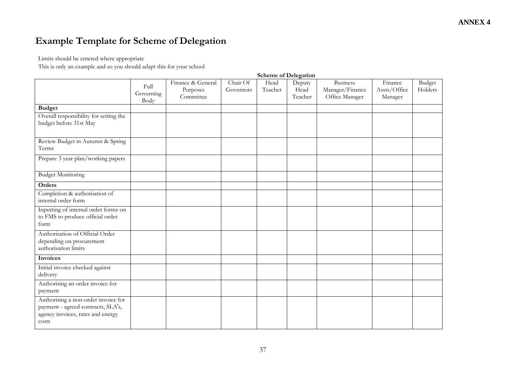# **Example Template for Scheme of Delegation**

Limits should be entered where appropriate

This is only an example and so you should adapt this for your school

|                                                                                                                         | <b>Scheme of Delegation</b> |                                            |                       |                 |                           |                                                      |                                    |                   |
|-------------------------------------------------------------------------------------------------------------------------|-----------------------------|--------------------------------------------|-----------------------|-----------------|---------------------------|------------------------------------------------------|------------------------------------|-------------------|
|                                                                                                                         | Full<br>Governing<br>Body   | Finance & General<br>Purposes<br>Committee | Chair Of<br>Governors | Head<br>Teacher | Deputy<br>Head<br>Teacher | <b>Business</b><br>Manager/Finance<br>Office Manager | Finance<br>Assts/Office<br>Manager | Budget<br>Holders |
| <b>Budget</b>                                                                                                           |                             |                                            |                       |                 |                           |                                                      |                                    |                   |
| Overall responsibility for setting the<br>budget before 31st May                                                        |                             |                                            |                       |                 |                           |                                                      |                                    |                   |
| Review Budget in Autumn & Spring<br>Terms                                                                               |                             |                                            |                       |                 |                           |                                                      |                                    |                   |
| Prepare 3 year plan/working papers                                                                                      |                             |                                            |                       |                 |                           |                                                      |                                    |                   |
| <b>Budget Monitoring</b>                                                                                                |                             |                                            |                       |                 |                           |                                                      |                                    |                   |
| Orders                                                                                                                  |                             |                                            |                       |                 |                           |                                                      |                                    |                   |
| Completion & authorisation of<br>internal order form                                                                    |                             |                                            |                       |                 |                           |                                                      |                                    |                   |
| Inputting of internal order forms on<br>to FMS to produce official order<br>form                                        |                             |                                            |                       |                 |                           |                                                      |                                    |                   |
| Authorisation of Official Order<br>depending on procurement<br>authorisation limits                                     |                             |                                            |                       |                 |                           |                                                      |                                    |                   |
| <b>Invoices</b>                                                                                                         |                             |                                            |                       |                 |                           |                                                      |                                    |                   |
| Initial invoice checked against<br>delivery                                                                             |                             |                                            |                       |                 |                           |                                                      |                                    |                   |
| Authorising an order invoice for<br>payment                                                                             |                             |                                            |                       |                 |                           |                                                      |                                    |                   |
| Authorising a non-order invoice for<br>payment - agreed contracts, SLA's,<br>agency invoices, rates and energy<br>costs |                             |                                            |                       |                 |                           |                                                      |                                    |                   |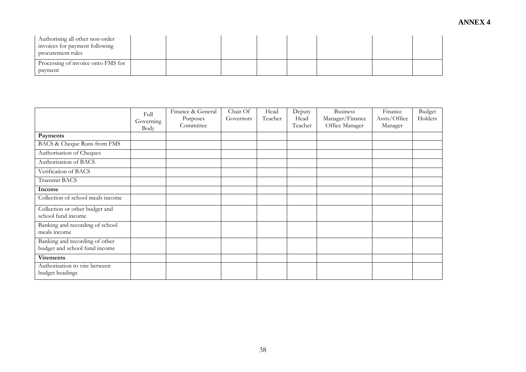| Authorising all other non-order<br>invoices for payment following<br>procurement rules |  |  |  |  |
|----------------------------------------------------------------------------------------|--|--|--|--|
| Processing of invoice onto FMS for<br>payment                                          |  |  |  |  |

|                                                                 | Full<br>Governing<br>Body | Finance & General<br>Purposes<br>Committee | Chair Of<br>Governors | Head<br>Teacher | Deputy<br>Head<br>Teacher | <b>Business</b><br>Manager/Finance<br>Office Manager | Finance<br>Assts/Office<br>Manager | Budget<br>Holders |
|-----------------------------------------------------------------|---------------------------|--------------------------------------------|-----------------------|-----------------|---------------------------|------------------------------------------------------|------------------------------------|-------------------|
| Payments                                                        |                           |                                            |                       |                 |                           |                                                      |                                    |                   |
| BACS & Cheque Runs from FMS                                     |                           |                                            |                       |                 |                           |                                                      |                                    |                   |
| Authorisation of Cheques                                        |                           |                                            |                       |                 |                           |                                                      |                                    |                   |
| Authorisation of BACS                                           |                           |                                            |                       |                 |                           |                                                      |                                    |                   |
| Verification of BACS                                            |                           |                                            |                       |                 |                           |                                                      |                                    |                   |
| Transmit BACS                                                   |                           |                                            |                       |                 |                           |                                                      |                                    |                   |
| Income                                                          |                           |                                            |                       |                 |                           |                                                      |                                    |                   |
| Collection of school meals income                               |                           |                                            |                       |                 |                           |                                                      |                                    |                   |
| Collection or other budget and<br>school fund income            |                           |                                            |                       |                 |                           |                                                      |                                    |                   |
| Banking and recording of school<br>meals income                 |                           |                                            |                       |                 |                           |                                                      |                                    |                   |
| Banking and recording of other<br>budget and school fund income |                           |                                            |                       |                 |                           |                                                      |                                    |                   |
| <b>Virements</b>                                                |                           |                                            |                       |                 |                           |                                                      |                                    |                   |
| Authorisation to vire between<br>budget headings                |                           |                                            |                       |                 |                           |                                                      |                                    |                   |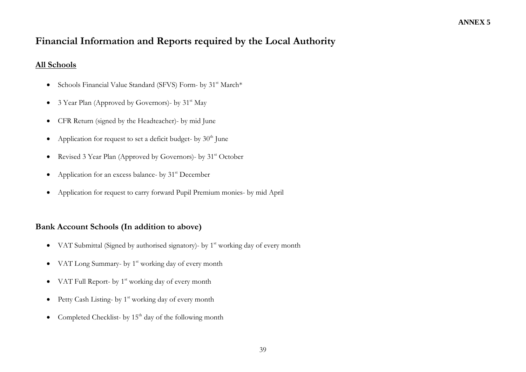# **Financial Information and Reports required by the Local Authority**

# **All Schools**

- Schools Financial Value Standard (SFVS) Form- by 31<sup>st</sup> March\*
- 3 Year Plan (Approved by Governors)- by  $31<sup>st</sup>$  May
- CFR Return (signed by the Headteacher)- by mid June
- Application for request to set a deficit budget- by  $30<sup>th</sup>$  June
- Revised 3 Year Plan (Approved by Governors)- by  $31<sup>st</sup>$  October
- Application for an excess balance- by  $31<sup>st</sup>$  December
- Application for request to carry forward Pupil Premium monies- by mid April

# **Bank Account Schools (In addition to above)**

- VAT Submittal (Signed by authorised signatory)- by  $1<sup>st</sup>$  working day of every month
- VAT Long Summary- by  $1<sup>st</sup>$  working day of every month
- VAT Full Report- by  $1<sup>st</sup>$  working day of every month
- Petty Cash Listing- by  $1^{st}$  working day of every month
- Completed Checklist- by  $15<sup>th</sup>$  day of the following month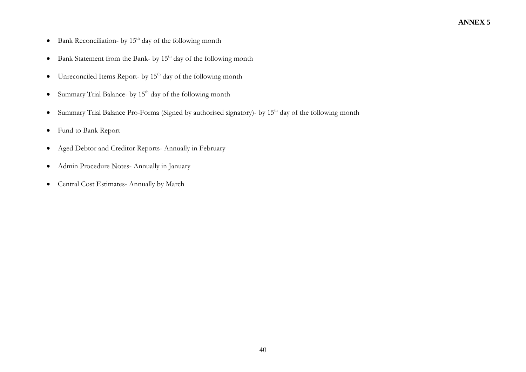# **ANNEX 5**

- Bank Reconciliation- by  $15<sup>th</sup>$  day of the following month
- Bank Statement from the Bank- by  $15<sup>th</sup>$  day of the following month
- Unreconciled Items Report- by  $15<sup>th</sup>$  day of the following month
- Summary Trial Balance- by  $15<sup>th</sup>$  day of the following month
- Summary Trial Balance Pro-Forma (Signed by authorised signatory)- by 15<sup>th</sup> day of the following month
- Fund to Bank Report
- Aged Debtor and Creditor Reports- Annually in February
- Admin Procedure Notes- Annually in January
- Central Cost Estimates- Annually by March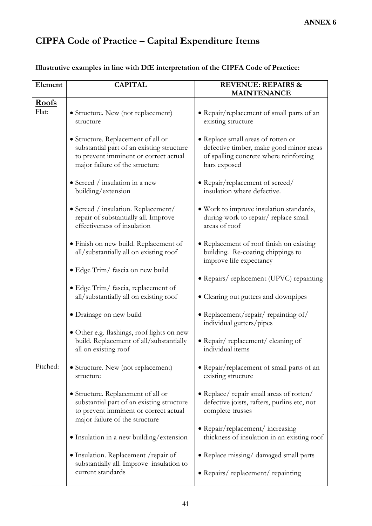# **CIPFA Code of Practice – Capital Expenditure Items**

| Illustrutive examples in line with DfE interpretation of the CIPFA Code of Practice: |  |  |  |  |
|--------------------------------------------------------------------------------------|--|--|--|--|
|--------------------------------------------------------------------------------------|--|--|--|--|

| Element      | <b>CAPITAL</b>                                                                                                                                             | <b>REVENUE: REPAIRS &amp;</b><br><b>MAINTENANCE</b>                                                                                     |
|--------------|------------------------------------------------------------------------------------------------------------------------------------------------------------|-----------------------------------------------------------------------------------------------------------------------------------------|
| <b>Roofs</b> |                                                                                                                                                            |                                                                                                                                         |
| Flat:        | • Structure. New (not replacement)<br>structure                                                                                                            | • Repair/replacement of small parts of an<br>existing structure                                                                         |
|              | • Structure. Replacement of all or<br>substantial part of an existing structure<br>to prevent imminent or correct actual<br>major failure of the structure | • Replace small areas of rotten or<br>defective timber, make good minor areas<br>of spalling concrete where reinforcing<br>bars exposed |
|              | • Screed / insulation in a new<br>building/extension                                                                                                       | • Repair/replacement of screed/<br>insulation where defective.                                                                          |
|              | • Screed / insulation. Replacement/<br>repair of substantially all. Improve<br>effectiveness of insulation                                                 | . Work to improve insulation standards,<br>during work to repair/replace small<br>areas of roof                                         |
|              | • Finish on new build. Replacement of<br>all/substantially all on existing roof                                                                            | • Replacement of roof finish on existing<br>building. Re-coating chippings to<br>improve life expectancy                                |
|              | • Edge Trim/ fascia on new build                                                                                                                           | • Repairs/replacement (UPVC) repainting                                                                                                 |
|              | · Edge Trim/ fascia, replacement of<br>all/substantially all on existing roof                                                                              | • Clearing out gutters and downpipes                                                                                                    |
|              | • Drainage on new build                                                                                                                                    | • Replacement/repair/ repainting of/<br>individual gutters/pipes                                                                        |
|              | • Other e.g. flashings, roof lights on new<br>build. Replacement of all/substantially<br>all on existing roof                                              | • Repair/replacement/cleaning of<br>individual items                                                                                    |
| Pitched:     | • Structure. New (not replacement)<br>structure                                                                                                            | • Repair/replacement of small parts of an<br>existing structure                                                                         |
|              | • Structure. Replacement of all or<br>substantial part of an existing structure<br>to prevent imminent or correct actual<br>major failure of the structure | • Replace/ repair small areas of rotten/<br>defective joists, rafters, purlins etc, not<br>complete trusses                             |
|              | • Insulation in a new building/extension                                                                                                                   | • Repair/replacement/ increasing<br>thickness of insulation in an existing roof                                                         |
|              | • Insulation. Replacement / repair of<br>substantially all. Improve insulation to                                                                          | • Replace missing/ damaged small parts                                                                                                  |
|              | current standards                                                                                                                                          | • Repairs/replacement/repainting                                                                                                        |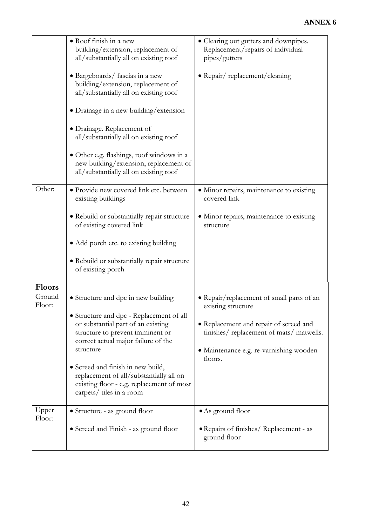|                                   | • Roof finish in a new<br>building/extension, replacement of<br>all/substantially all on existing roof<br>• Bargeboards/ fascias in a new<br>building/extension, replacement of<br>all/substantially all on existing roof<br>• Drainage in a new building/extension<br>• Drainage. Replacement of<br>all/substantially all on existing roof<br>• Other e.g. flashings, roof windows in a<br>new building/extension, replacement of<br>all/substantially all on existing roof | • Clearing out gutters and downpipes.<br>Replacement/repairs of individual<br>pipes/gutters<br>• Repair/replacement/cleaning                                                                                |
|-----------------------------------|------------------------------------------------------------------------------------------------------------------------------------------------------------------------------------------------------------------------------------------------------------------------------------------------------------------------------------------------------------------------------------------------------------------------------------------------------------------------------|-------------------------------------------------------------------------------------------------------------------------------------------------------------------------------------------------------------|
| Other:                            | • Provide new covered link etc. between<br>existing buildings<br>· Rebuild or substantially repair structure<br>of existing covered link<br>• Add porch etc. to existing building<br>• Rebuild or substantially repair structure<br>of existing porch                                                                                                                                                                                                                        | • Minor repairs, maintenance to existing<br>covered link<br>• Minor repairs, maintenance to existing<br>structure                                                                                           |
| <u>Floors</u><br>Ground<br>Floor: | • Structure and dpc in new building<br>• Structure and dpc - Replacement of all<br>or substantial part of an existing<br>structure to prevent imminent or<br>correct actual major failure of the<br>structure<br>• Screed and finish in new build,<br>replacement of all/substantially all on<br>existing floor - e.g. replacement of most<br>carpets/ tiles in a room                                                                                                       | • Repair/replacement of small parts of an<br>existing structure<br>• Replacement and repair of screed and<br>finishes/ replacement of mats/ matwells.<br>· Maintenance e.g. re-varnishing wooden<br>floors. |
| Upper<br>Floor:                   | • Structure - as ground floor<br>• Screed and Finish - as ground floor                                                                                                                                                                                                                                                                                                                                                                                                       | $\bullet$ As ground floor<br>• Repairs of finishes/ Replacement - as<br>ground floor                                                                                                                        |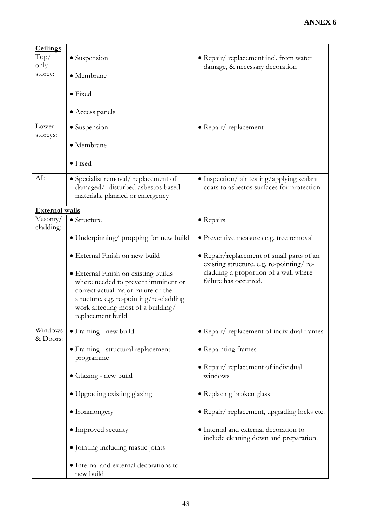| Ceilings<br>$\text{Top}/\text{}$<br>only<br>storey:<br>Lower<br>storeys: | • Suspension<br>· Membrane<br>$\bullet$ Fixed<br>• Access panels<br>• Suspension                                                                                                                                                                           | • Repair/replacement incl. from water<br>damage, & necessary decoration<br>· Repair/replacement                                                         |
|--------------------------------------------------------------------------|------------------------------------------------------------------------------------------------------------------------------------------------------------------------------------------------------------------------------------------------------------|---------------------------------------------------------------------------------------------------------------------------------------------------------|
|                                                                          | · Membrane                                                                                                                                                                                                                                                 |                                                                                                                                                         |
|                                                                          | $\bullet$ Fixed                                                                                                                                                                                                                                            |                                                                                                                                                         |
| All:                                                                     | • Specialist removal/ replacement of<br>damaged/ disturbed asbestos based<br>materials, planned or emergency                                                                                                                                               | • Inspection/air testing/applying sealant<br>coats to asbestos surfaces for protection                                                                  |
| <b>External walls</b>                                                    |                                                                                                                                                                                                                                                            |                                                                                                                                                         |
| Masonry/<br>cladding:                                                    | • Structure                                                                                                                                                                                                                                                | • Repairs                                                                                                                                               |
|                                                                          | • Underpinning/ propping for new build                                                                                                                                                                                                                     | • Preventive measures e.g. tree removal                                                                                                                 |
|                                                                          | · External Finish on new build<br>• External Finish on existing builds<br>where needed to prevent imminent or<br>correct actual major failure of the<br>structure. e.g. re-pointing/re-cladding<br>work affecting most of a building/<br>replacement build | • Repair/replacement of small parts of an<br>existing structure. e.g. re-pointing/re-<br>cladding a proportion of a wall where<br>failure has occurred. |
| Windows<br>& Doors:                                                      | · Framing - new build                                                                                                                                                                                                                                      | · Repair/replacement of individual frames                                                                                                               |
|                                                                          | • Framing - structural replacement<br>programme                                                                                                                                                                                                            | • Repainting frames                                                                                                                                     |
|                                                                          | • Glazing - new build                                                                                                                                                                                                                                      | • Repair/replacement of individual<br>windows                                                                                                           |
|                                                                          | • Upgrading existing glazing                                                                                                                                                                                                                               | • Replacing broken glass                                                                                                                                |
|                                                                          | • Ironmongery                                                                                                                                                                                                                                              | · Repair/replacement, upgrading locks etc.                                                                                                              |
|                                                                          | • Improved security                                                                                                                                                                                                                                        | · Internal and external decoration to<br>include cleaning down and preparation.                                                                         |
|                                                                          | · Jointing including mastic joints                                                                                                                                                                                                                         |                                                                                                                                                         |
|                                                                          | • Internal and external decorations to<br>new build                                                                                                                                                                                                        |                                                                                                                                                         |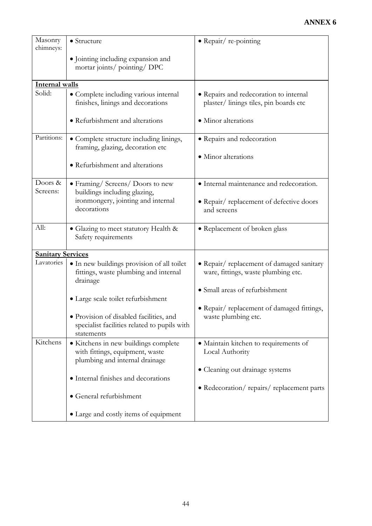| Masonry<br>chimneys:     | $\bullet$ Structure                                                                                       | $\bullet$ Repair/re-pointing                                                    |
|--------------------------|-----------------------------------------------------------------------------------------------------------|---------------------------------------------------------------------------------|
|                          | • Jointing including expansion and<br>mortar joints/ pointing/ DPC                                        |                                                                                 |
| <b>Internal walls</b>    |                                                                                                           |                                                                                 |
| Solid:                   | · Complete including various internal<br>finishes, linings and decorations                                | • Repairs and redecoration to internal<br>plaster/linings tiles, pin boards etc |
|                          | • Refurbishment and alterations                                                                           | • Minor alterations                                                             |
| Partitions:              | • Complete structure including linings,<br>framing, glazing, decoration etc                               | · Repairs and redecoration                                                      |
|                          | • Refurbishment and alterations                                                                           | · Minor alterations                                                             |
| Doors &<br>Screens:      | • Framing/ Screens/ Doors to new<br>buildings including glazing,                                          | • Internal maintenance and redecoration.                                        |
|                          | ironmongery, jointing and internal<br>decorations                                                         | • Repair/replacement of defective doors<br>and screens                          |
| All:                     | • Glazing to meet statutory Health &<br>Safety requirements                                               | • Replacement of broken glass                                                   |
| <b>Sanitary Services</b> |                                                                                                           |                                                                                 |
| Lavatories               | • In new buildings provision of all toilet<br>fittings, waste plumbing and internal<br>drainage           | • Repair/replacement of damaged sanitary<br>ware, fittings, waste plumbing etc. |
|                          | • Large scale toilet refurbishment                                                                        | • Small areas of refurbishment                                                  |
|                          | · Provision of disabled facilities, and                                                                   | • Repair/replacement of damaged fittings,<br>waste plumbing etc.                |
|                          | specialist facilities related to pupils with<br>statements                                                |                                                                                 |
| Kitchens                 | • Kitchens in new buildings complete<br>with fittings, equipment, waste<br>plumbing and internal drainage | • Maintain kitchen to requirements of<br>Local Authority                        |
|                          | • Internal finishes and decorations                                                                       | • Cleaning out drainage systems                                                 |
|                          | • General refurbishment                                                                                   | • Redecoration/repairs/replacement parts                                        |
|                          | • Large and costly items of equipment                                                                     |                                                                                 |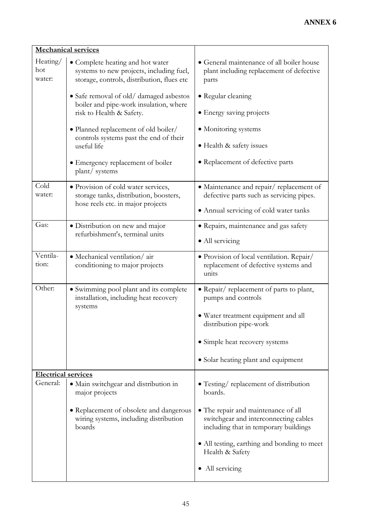| <b>Mechanical services</b> |                                                                                                                            |                                                                                                                       |
|----------------------------|----------------------------------------------------------------------------------------------------------------------------|-----------------------------------------------------------------------------------------------------------------------|
| Heating/<br>hot<br>water:  | • Complete heating and hot water<br>systems to new projects, including fuel,<br>storage, controls, distribution, flues etc | • General maintenance of all boiler house<br>plant including replacement of defective<br>parts                        |
|                            | • Safe removal of old/ damaged asbestos<br>boiler and pipe-work insulation, where<br>risk to Health & Safety.              | • Regular cleaning<br>• Energy saving projects                                                                        |
|                            |                                                                                                                            |                                                                                                                       |
|                            | • Planned replacement of old boiler/<br>controls systems past the end of their                                             | • Monitoring systems<br>• Health & safety issues                                                                      |
|                            | useful life                                                                                                                |                                                                                                                       |
|                            | • Emergency replacement of boiler<br>plant/ systems                                                                        | • Replacement of defective parts                                                                                      |
| Cold<br>water:             | · Provision of cold water services,<br>storage tanks, distribution, boosters,                                              | · Maintenance and repair/replacement of<br>defective parts such as servicing pipes.                                   |
|                            | hose reels etc. in major projects                                                                                          | • Annual servicing of cold water tanks                                                                                |
| Gas:                       | · Distribution on new and major<br>refurbishment's, terminal units                                                         | · Repairs, maintenance and gas safety                                                                                 |
|                            |                                                                                                                            | • All servicing                                                                                                       |
| Ventila-<br>tion:          | · Mechanical ventilation/air<br>conditioning to major projects                                                             | · Provision of local ventilation. Repair/<br>replacement of defective systems and<br>units                            |
| Other:                     | · Swimming pool plant and its complete<br>installation, including heat recovery<br>systems                                 | · Repair/replacement of parts to plant,<br>pumps and controls                                                         |
|                            |                                                                                                                            | · Water treatment equipment and all<br>distribution pipe-work                                                         |
|                            |                                                                                                                            | • Simple heat recovery systems                                                                                        |
|                            |                                                                                                                            | • Solar heating plant and equipment                                                                                   |
| <b>Electrical services</b> |                                                                                                                            |                                                                                                                       |
| General:                   | • Main switchgear and distribution in<br>major projects                                                                    | • Testing/replacement of distribution<br>boards.                                                                      |
|                            | • Replacement of obsolete and dangerous<br>wiring systems, including distribution<br>boards                                | • The repair and maintenance of all<br>switchgear and interconnecting cables<br>including that in temporary buildings |
|                            |                                                                                                                            | • All testing, earthing and bonding to meet<br>Health & Safety                                                        |
|                            |                                                                                                                            | • All servicing                                                                                                       |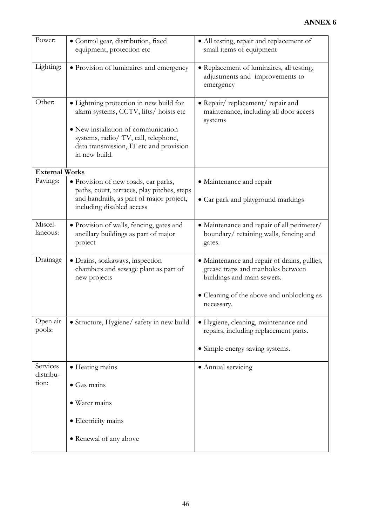# **ANNEX 6**

| Power:                         | · Control gear, distribution, fixed<br>equipment, protection etc                                                                                                                                                            | · All testing, repair and replacement of<br>small items of equipment                                                                                                       |
|--------------------------------|-----------------------------------------------------------------------------------------------------------------------------------------------------------------------------------------------------------------------------|----------------------------------------------------------------------------------------------------------------------------------------------------------------------------|
| Lighting:                      | · Provision of luminaires and emergency                                                                                                                                                                                     | • Replacement of luminaires, all testing,<br>adjustments and improvements to<br>emergency                                                                                  |
| Other:                         | • Lightning protection in new build for<br>alarm systems, CCTV, lifts/hoists etc<br>• New installation of communication<br>systems, radio/ TV, call, telephone,<br>data transmission, IT etc and provision<br>in new build. | · Repair/replacement/repair and<br>maintenance, including all door access<br>systems                                                                                       |
| <b>External Works</b>          |                                                                                                                                                                                                                             |                                                                                                                                                                            |
| Pavings:                       | • Provision of new roads, car parks,<br>paths, court, terraces, play pitches, steps<br>and handrails, as part of major project,<br>including disabled access                                                                | • Maintenance and repair<br>• Car park and playground markings                                                                                                             |
| Miscel-<br>laneous:            | · Provision of walls, fencing, gates and<br>ancillary buildings as part of major<br>project                                                                                                                                 | • Maintenance and repair of all perimeter/<br>boundary/retaining walls, fencing and<br>gates.                                                                              |
| Drainage                       | · Drains, soakaways, inspection<br>chambers and sewage plant as part of<br>new projects                                                                                                                                     | · Maintenance and repair of drains, gullies,<br>grease traps and manholes between<br>buildings and main sewers.<br>• Cleaning of the above and unblocking as<br>necessary. |
| Open air<br>pools:             | · Structure, Hygiene/ safety in new build                                                                                                                                                                                   | · Hygiene, cleaning, maintenance and<br>repairs, including replacement parts.<br>• Simple energy saving systems.                                                           |
| Services<br>distribu-<br>tion: | • Heating mains<br>$\bullet$ Gas mains                                                                                                                                                                                      | • Annual servicing                                                                                                                                                         |
|                                | • Water mains                                                                                                                                                                                                               |                                                                                                                                                                            |
|                                | · Electricity mains                                                                                                                                                                                                         |                                                                                                                                                                            |
|                                | • Renewal of any above                                                                                                                                                                                                      |                                                                                                                                                                            |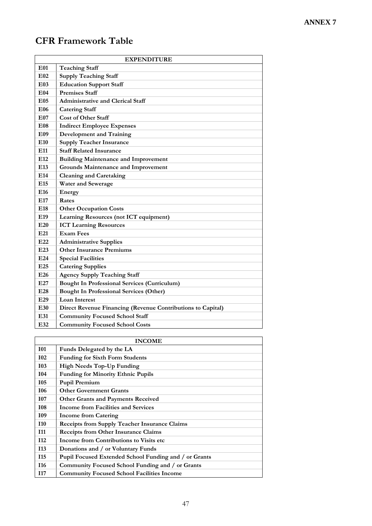# **CFR Framework Table**

| <b>EXPENDITURE</b> |                                                             |  |
|--------------------|-------------------------------------------------------------|--|
| <b>E01</b>         | <b>Teaching Staff</b>                                       |  |
| E02                | <b>Supply Teaching Staff</b>                                |  |
| E <sub>03</sub>    | <b>Education Support Staff</b>                              |  |
| E04                | <b>Premises Staff</b>                                       |  |
| E05                | <b>Administrative and Clerical Staff</b>                    |  |
| E06                | <b>Catering Staff</b>                                       |  |
| E07                | <b>Cost of Other Staff</b>                                  |  |
| <b>E08</b>         | <b>Indirect Employee Expenses</b>                           |  |
| E09                | Development and Training                                    |  |
| E <sub>10</sub>    | <b>Supply Teacher Insurance</b>                             |  |
| E11                | <b>Staff Related Insurance</b>                              |  |
| E12                | <b>Building Maintenance and Improvement</b>                 |  |
| E13                | <b>Grounds Maintenance and Improvement</b>                  |  |
| E14                | <b>Cleaning and Caretaking</b>                              |  |
| E <sub>15</sub>    | Water and Sewerage                                          |  |
| E16                | Energy                                                      |  |
| E17                | Rates                                                       |  |
| E18                | <b>Other Occupation Costs</b>                               |  |
| E19                | Learning Resources (not ICT equipment)                      |  |
| E20                | <b>ICT Learning Resources</b>                               |  |
| E21                | <b>Exam Fees</b>                                            |  |
| E22                | <b>Administrative Supplies</b>                              |  |
| E23                | <b>Other Insurance Premiums</b>                             |  |
| E24                | <b>Special Facilities</b>                                   |  |
| E25                | <b>Catering Supplies</b>                                    |  |
| E <sub>26</sub>    | <b>Agency Supply Teaching Staff</b>                         |  |
| E27                | <b>Bought In Professional Services (Curriculum)</b>         |  |
| E28                | <b>Bought In Professional Services (Other)</b>              |  |
| E29                | <b>Loan Interest</b>                                        |  |
| E30                | Direct Revenue Financing (Revenue Contributions to Capital) |  |
| E31                | <b>Community Focused School Staff</b>                       |  |
| E32                | <b>Community Focused School Costs</b>                       |  |

| <b>INCOME</b>   |                                                       |
|-----------------|-------------------------------------------------------|
| <b>I01</b>      | Funds Delegated by the LA                             |
| <b>I02</b>      | <b>Funding for Sixth Form Students</b>                |
| <b>I03</b>      | <b>High Needs Top-Up Funding</b>                      |
| <b>I04</b>      | <b>Funding for Minority Ethnic Pupils</b>             |
| <b>I05</b>      | <b>Pupil Premium</b>                                  |
| <b>I06</b>      | <b>Other Government Grants</b>                        |
| <b>I07</b>      | <b>Other Grants and Payments Received</b>             |
| <b>I08</b>      | <b>Income from Facilities and Services</b>            |
| I <sub>09</sub> | Income from Catering                                  |
| <b>I10</b>      | <b>Receipts from Supply Teacher Insurance Claims</b>  |
| <b>I11</b>      | <b>Receipts from Other Insurance Claims</b>           |
| <b>I12</b>      | Income from Contributions to Visits etc.              |
| I13             | Donations and / or Voluntary Funds                    |
| <b>I15</b>      | Pupil Focused Extended School Funding and / or Grants |
| <b>I</b> 16     | Community Focused School Funding and / or Grants      |
| <b>I17</b>      | <b>Community Focused School Facilities Income</b>     |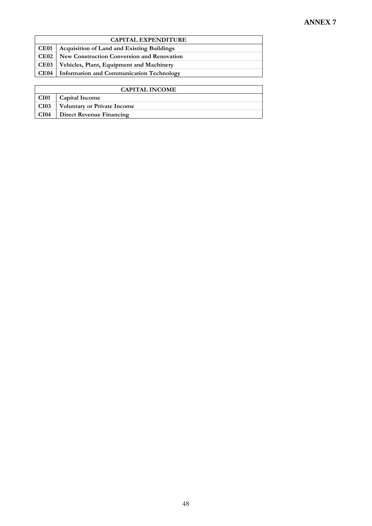# **ANNEX 7**

| <b>CAPITAL EXPENDITURE</b> |                                                   |  |
|----------------------------|---------------------------------------------------|--|
| $\mathbf{CE}$ 01           | <b>Acquisition of Land and Existing Buildings</b> |  |
|                            | CE02   New Construction Conversion and Renovation |  |
| $\mathbf{CE}$ 03           | Vehicles, Plant, Equipment and Machinery          |  |
| $\mathbf{CE}$ 04           | <b>Information and Communication Technology</b>   |  |

#### **CAPITAL INCOME**

| CI01   Capital Income                  |
|----------------------------------------|
| CI03   Voluntary or Private Income     |
| <b>CI04</b>   Direct Revenue Financing |

 $\overline{\phantom{a}}$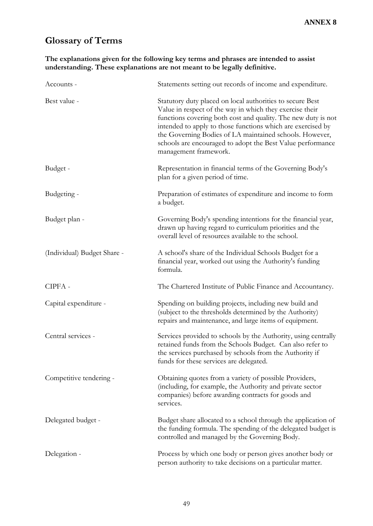# **Glossary of Terms**

**The explanations given for the following key terms and phrases are intended to assist understanding. These explanations are not meant to be legally definitive.**

| Accounts -                  | Statements setting out records of income and expenditure.                                                                                                                                                                                                                                                                                                                                               |  |
|-----------------------------|---------------------------------------------------------------------------------------------------------------------------------------------------------------------------------------------------------------------------------------------------------------------------------------------------------------------------------------------------------------------------------------------------------|--|
| Best value -                | Statutory duty placed on local authorities to secure Best<br>Value in respect of the way in which they exercise their<br>functions covering both cost and quality. The new duty is not<br>intended to apply to those functions which are exercised by<br>the Governing Bodies of LA maintained schools. However,<br>schools are encouraged to adopt the Best Value performance<br>management framework. |  |
| Budget -                    | Representation in financial terms of the Governing Body's<br>plan for a given period of time.                                                                                                                                                                                                                                                                                                           |  |
| Budgeting -                 | Preparation of estimates of expenditure and income to form<br>a budget.                                                                                                                                                                                                                                                                                                                                 |  |
| Budget plan -               | Governing Body's spending intentions for the financial year,<br>drawn up having regard to curriculum priorities and the<br>overall level of resources available to the school.                                                                                                                                                                                                                          |  |
| (Individual) Budget Share - | A school's share of the Individual Schools Budget for a<br>financial year, worked out using the Authority's funding<br>formula.                                                                                                                                                                                                                                                                         |  |
| CIPFA -                     | The Chartered Institute of Public Finance and Accountancy.                                                                                                                                                                                                                                                                                                                                              |  |
| Capital expenditure -       | Spending on building projects, including new build and<br>(subject to the thresholds determined by the Authority)<br>repairs and maintenance, and large items of equipment.                                                                                                                                                                                                                             |  |
| Central services -          | Services provided to schools by the Authority, using centrally<br>retained funds from the Schools Budget. Can also refer to<br>the services purchased by schools from the Authority if<br>funds for these services are delegated.                                                                                                                                                                       |  |
| Competitive tendering -     | Obtaining quotes from a variety of possible Providers,<br>(including, for example, the Authority and private sector<br>companies) before awarding contracts for goods and<br>services.                                                                                                                                                                                                                  |  |
| Delegated budget -          | Budget share allocated to a school through the application of<br>the funding formula. The spending of the delegated budget is<br>controlled and managed by the Governing Body.                                                                                                                                                                                                                          |  |
| Delegation -                | Process by which one body or person gives another body or<br>person authority to take decisions on a particular matter.                                                                                                                                                                                                                                                                                 |  |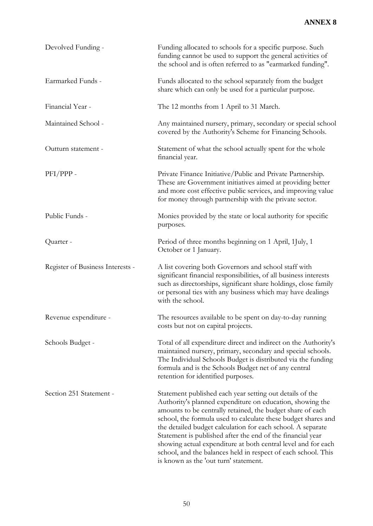# **ANNEX 8**

| Devolved Funding -               | Funding allocated to schools for a specific purpose. Such<br>funding cannot be used to support the general activities of<br>the school and is often referred to as "earmarked funding".                                                                                                                                                                                                                                                                                                                                                                      |  |
|----------------------------------|--------------------------------------------------------------------------------------------------------------------------------------------------------------------------------------------------------------------------------------------------------------------------------------------------------------------------------------------------------------------------------------------------------------------------------------------------------------------------------------------------------------------------------------------------------------|--|
| Earmarked Funds -                | Funds allocated to the school separately from the budget<br>share which can only be used for a particular purpose.                                                                                                                                                                                                                                                                                                                                                                                                                                           |  |
| Financial Year -                 | The 12 months from 1 April to 31 March.                                                                                                                                                                                                                                                                                                                                                                                                                                                                                                                      |  |
| Maintained School -              | Any maintained nursery, primary, secondary or special school<br>covered by the Authority's Scheme for Financing Schools.                                                                                                                                                                                                                                                                                                                                                                                                                                     |  |
| Outturn statement -              | Statement of what the school actually spent for the whole<br>financial year.                                                                                                                                                                                                                                                                                                                                                                                                                                                                                 |  |
| $PFI/PPP -$                      | Private Finance Initiative/Public and Private Partnership.<br>These are Government initiatives aimed at providing better<br>and more cost effective public services, and improving value<br>for money through partnership with the private sector.                                                                                                                                                                                                                                                                                                           |  |
| Public Funds -                   | Monies provided by the state or local authority for specific<br>purposes.                                                                                                                                                                                                                                                                                                                                                                                                                                                                                    |  |
| Quarter -                        | Period of three months beginning on 1 April, 1 July, 1<br>October or 1 January.                                                                                                                                                                                                                                                                                                                                                                                                                                                                              |  |
| Register of Business Interests - | A list covering both Governors and school staff with<br>significant financial responsibilities, of all business interests<br>such as directorships, significant share holdings, close family<br>or personal ties with any business which may have dealings<br>with the school.                                                                                                                                                                                                                                                                               |  |
| Revenue expenditure -            | The resources available to be spent on day-to-day running<br>costs but not on capital projects.                                                                                                                                                                                                                                                                                                                                                                                                                                                              |  |
| Schools Budget -                 | Total of all expenditure direct and indirect on the Authority's<br>maintained nursery, primary, secondary and special schools.<br>The Individual Schools Budget is distributed via the funding<br>formula and is the Schools Budget net of any central<br>retention for identified purposes.                                                                                                                                                                                                                                                                 |  |
| Section 251 Statement -          | Statement published each year setting out details of the<br>Authority's planned expenditure on education, showing the<br>amounts to be centrally retained, the budget share of each<br>school, the formula used to calculate these budget shares and<br>the detailed budget calculation for each school. A separate<br>Statement is published after the end of the financial year<br>showing actual expenditure at both central level and for each<br>school, and the balances held in respect of each school. This<br>is known as the 'out turn' statement. |  |